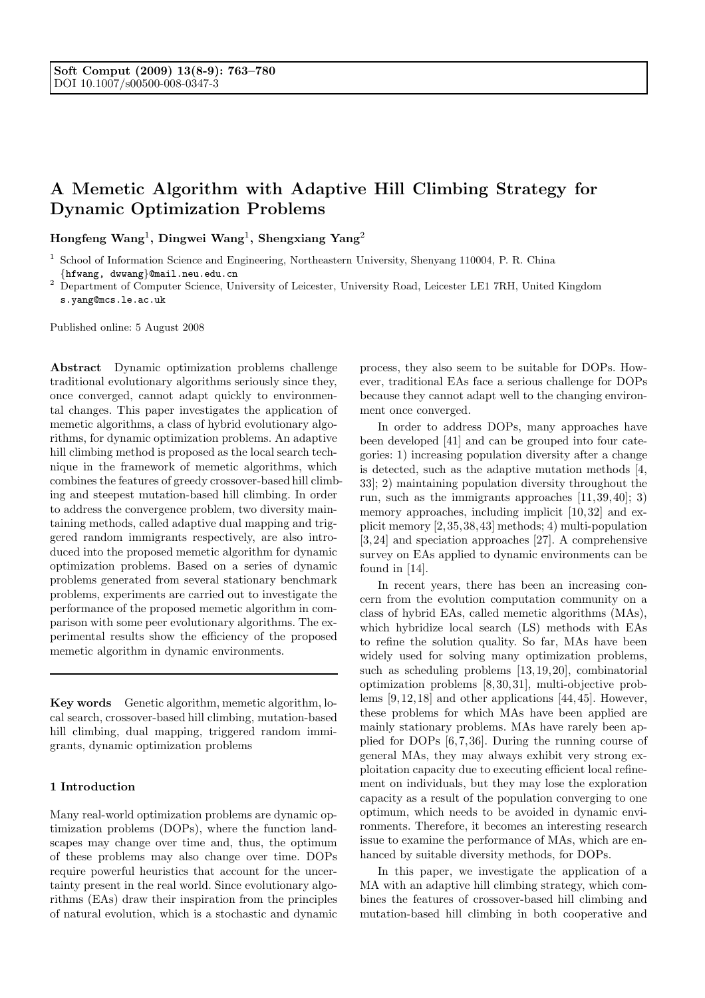# A Memetic Algorithm with Adaptive Hill Climbing Strategy for Dynamic Optimization Problems

 $\rm{Hongfeng\ Wang^1,\ Dingwei\ Wang^1,\ Shengxiang\ Yang^2}$ 

<sup>1</sup> School of Information Science and Engineering, Northeastern University, Shenyang 110004, P. R. China {hfwang, dwwang}@mail.neu.edu.cn

<sup>2</sup> Department of Computer Science, University of Leicester, University Road, Leicester LE1 7RH, United Kingdom s.yang@mcs.le.ac.uk

Published online: 5 August 2008

Abstract Dynamic optimization problems challenge traditional evolutionary algorithms seriously since they, once converged, cannot adapt quickly to environmental changes. This paper investigates the application of memetic algorithms, a class of hybrid evolutionary algorithms, for dynamic optimization problems. An adaptive hill climbing method is proposed as the local search technique in the framework of memetic algorithms, which combines the features of greedy crossover-based hill climbing and steepest mutation-based hill climbing. In order to address the convergence problem, two diversity maintaining methods, called adaptive dual mapping and triggered random immigrants respectively, are also introduced into the proposed memetic algorithm for dynamic optimization problems. Based on a series of dynamic problems generated from several stationary benchmark problems, experiments are carried out to investigate the performance of the proposed memetic algorithm in comparison with some peer evolutionary algorithms. The experimental results show the efficiency of the proposed memetic algorithm in dynamic environments.

Key words Genetic algorithm, memetic algorithm, local search, crossover-based hill climbing, mutation-based hill climbing, dual mapping, triggered random immigrants, dynamic optimization problems

## 1 Introduction

Many real-world optimization problems are dynamic optimization problems (DOPs), where the function landscapes may change over time and, thus, the optimum of these problems may also change over time. DOPs require powerful heuristics that account for the uncertainty present in the real world. Since evolutionary algorithms (EAs) draw their inspiration from the principles of natural evolution, which is a stochastic and dynamic process, they also seem to be suitable for DOPs. However, traditional EAs face a serious challenge for DOPs because they cannot adapt well to the changing environment once converged.

In order to address DOPs, many approaches have been developed [41] and can be grouped into four categories: 1) increasing population diversity after a change is detected, such as the adaptive mutation methods [4, 33]; 2) maintaining population diversity throughout the run, such as the immigrants approaches [11,39,40]; 3) memory approaches, including implicit [10,32] and explicit memory [2,35,38,43] methods; 4) multi-population [3,24] and speciation approaches [27]. A comprehensive survey on EAs applied to dynamic environments can be found in [14].

In recent years, there has been an increasing concern from the evolution computation community on a class of hybrid EAs, called memetic algorithms (MAs), which hybridize local search (LS) methods with EAs to refine the solution quality. So far, MAs have been widely used for solving many optimization problems, such as scheduling problems [13,19,20], combinatorial optimization problems [8,30,31], multi-objective problems [9,12,18] and other applications [44,45]. However, these problems for which MAs have been applied are mainly stationary problems. MAs have rarely been applied for DOPs [6,7,36]. During the running course of general MAs, they may always exhibit very strong exploitation capacity due to executing efficient local refinement on individuals, but they may lose the exploration capacity as a result of the population converging to one optimum, which needs to be avoided in dynamic environments. Therefore, it becomes an interesting research issue to examine the performance of MAs, which are enhanced by suitable diversity methods, for DOPs.

In this paper, we investigate the application of a MA with an adaptive hill climbing strategy, which combines the features of crossover-based hill climbing and mutation-based hill climbing in both cooperative and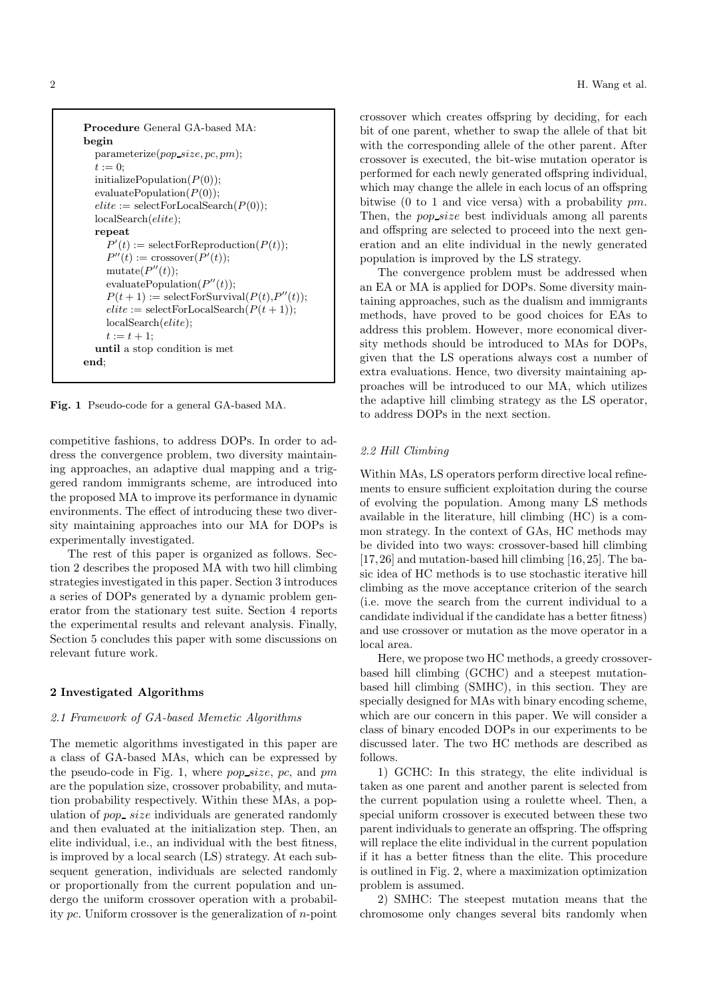```
Procedure General GA-based MA:
begin
  parameterize(pop_size, pc, pm);t := 0:
  initializePopulation(P(0));
  evaluatePopulation(P(0));
  elite := selectForLocalSearch(P(0));localSearch(elite);
  repeat
     P'(t) := \text{selectForReproduction}(P(t));P''(t) := \text{crossover}(\overline{P}'(t));\text{mutate}(P''(t));evaluatePopulation(P''(t));
     P(t+1) := \text{selectForSurvival}(P(t), P''(t));elite := selectForLocalSearch(P(t + 1));localSearch(elite);
     t := t + 1;until a stop condition is met
end;
```
Fig. 1 Pseudo-code for a general GA-based MA.

competitive fashions, to address DOPs. In order to address the convergence problem, two diversity maintaining approaches, an adaptive dual mapping and a triggered random immigrants scheme, are introduced into the proposed MA to improve its performance in dynamic environments. The effect of introducing these two diversity maintaining approaches into our MA for DOPs is experimentally investigated.

The rest of this paper is organized as follows. Section 2 describes the proposed MA with two hill climbing strategies investigated in this paper. Section 3 introduces a series of DOPs generated by a dynamic problem generator from the stationary test suite. Section 4 reports the experimental results and relevant analysis. Finally, Section 5 concludes this paper with some discussions on relevant future work.

# 2 Investigated Algorithms

## 2.1 Framework of GA-based Memetic Algorithms

The memetic algorithms investigated in this paper are a class of GA-based MAs, which can be expressed by the pseudo-code in Fig. 1, where  $pop\_size$ , pc, and pm are the population size, crossover probability, and mutation probability respectively. Within these MAs, a population of *pop\_size* individuals are generated randomly and then evaluated at the initialization step. Then, an elite individual, i.e., an individual with the best fitness, is improved by a local search (LS) strategy. At each subsequent generation, individuals are selected randomly or proportionally from the current population and undergo the uniform crossover operation with a probability  $pc$ . Uniform crossover is the generalization of  $n$ -point crossover which creates offspring by deciding, for each bit of one parent, whether to swap the allele of that bit with the corresponding allele of the other parent. After crossover is executed, the bit-wise mutation operator is performed for each newly generated offspring individual, which may change the allele in each locus of an offspring bitwise (0 to 1 and vice versa) with a probability pm. Then, the *pop\_size* best individuals among all parents and offspring are selected to proceed into the next generation and an elite individual in the newly generated population is improved by the LS strategy.

The convergence problem must be addressed when an EA or MA is applied for DOPs. Some diversity maintaining approaches, such as the dualism and immigrants methods, have proved to be good choices for EAs to address this problem. However, more economical diversity methods should be introduced to MAs for DOPs, given that the LS operations always cost a number of extra evaluations. Hence, two diversity maintaining approaches will be introduced to our MA, which utilizes the adaptive hill climbing strategy as the LS operator, to address DOPs in the next section.

## 2.2 Hill Climbing

Within MAs, LS operators perform directive local refinements to ensure sufficient exploitation during the course of evolving the population. Among many LS methods available in the literature, hill climbing (HC) is a common strategy. In the context of GAs, HC methods may be divided into two ways: crossover-based hill climbing [17,26] and mutation-based hill climbing [16,25]. The basic idea of HC methods is to use stochastic iterative hill climbing as the move acceptance criterion of the search (i.e. move the search from the current individual to a candidate individual if the candidate has a better fitness) and use crossover or mutation as the move operator in a local area.

Here, we propose two HC methods, a greedy crossoverbased hill climbing (GCHC) and a steepest mutationbased hill climbing (SMHC), in this section. They are specially designed for MAs with binary encoding scheme, which are our concern in this paper. We will consider a class of binary encoded DOPs in our experiments to be discussed later. The two HC methods are described as follows.

1) GCHC: In this strategy, the elite individual is taken as one parent and another parent is selected from the current population using a roulette wheel. Then, a special uniform crossover is executed between these two parent individuals to generate an offspring. The offspring will replace the elite individual in the current population if it has a better fitness than the elite. This procedure is outlined in Fig. 2, where a maximization optimization problem is assumed.

2) SMHC: The steepest mutation means that the chromosome only changes several bits randomly when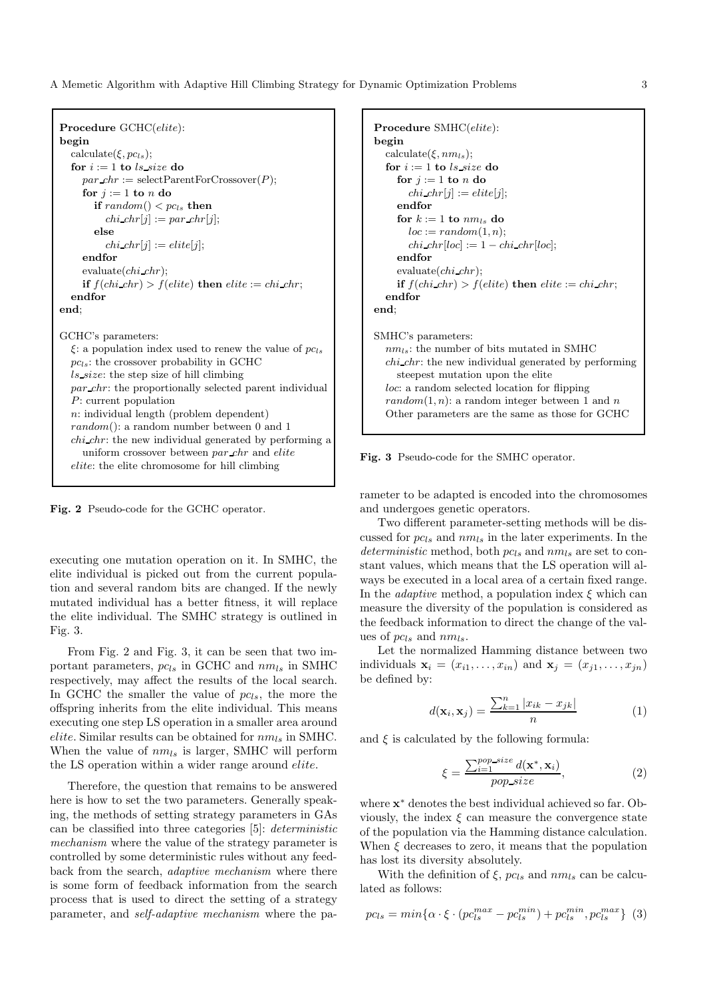A Memetic Algorithm with Adaptive Hill Climbing Strategy for Dynamic Optimization Problems 3

| <b>Procedure</b> GCHC(elite):                                   |
|-----------------------------------------------------------------|
| begin                                                           |
| calculate( $\xi, pc_{ls}$ );                                    |
| for $i := 1$ to <i>ls_size</i> do                               |
| $par\_chr := selectParentForCrossover(P);$                      |
| for $i := 1$ to n do                                            |
| if $random() < pc_{ls}$ then                                    |
| $chi \text{ } chr[j] := par \text{ } chr[j];$                   |
| else                                                            |
| $chi \text{ } chr[j] := elite[j];$                              |
| endfor                                                          |
| $\text{evaluate}(chi\_chr);$                                    |
| if $f(chi-chr) > f(elite)$ then $elite := chi-chr$ ;            |
| endfor                                                          |
| end:                                                            |
|                                                                 |
| GCHC's parameters:                                              |
| $\xi$ : a population index used to renew the value of $pc_{ls}$ |
| $pc_{ls}$ : the crossover probability in GCHC                   |
| <i>ls size</i> : the step size of hill climbing                 |
| <i>par_chr</i> : the proportionally selected parent individual  |
| $P$ : current population                                        |
| $n:$ individual length (problem dependent)                      |
| $random()$ : a random number between 0 and 1                    |
| <i>chi chr</i> : the new individual generated by performing a   |
| uniform crossover between par_chr and elite                     |
| elite: the elite chromosome for hill climbing                   |

Fig. 2 Pseudo-code for the GCHC operator.

executing one mutation operation on it. In SMHC, the elite individual is picked out from the current population and several random bits are changed. If the newly mutated individual has a better fitness, it will replace the elite individual. The SMHC strategy is outlined in Fig. 3.

From Fig. 2 and Fig. 3, it can be seen that two important parameters,  $pc_{ls}$  in GCHC and  $nm_{ls}$  in SMHC respectively, may affect the results of the local search. In GCHC the smaller the value of  $pc_{ls}$ , the more the offspring inherits from the elite individual. This means executing one step LS operation in a smaller area around elite. Similar results can be obtained for  $nm_{ls}$  in SMHC. When the value of  $nm_{ls}$  is larger, SMHC will perform the LS operation within a wider range around elite.

Therefore, the question that remains to be answered here is how to set the two parameters. Generally speaking, the methods of setting strategy parameters in GAs can be classified into three categories [5]: deterministic mechanism where the value of the strategy parameter is controlled by some deterministic rules without any feedback from the search, adaptive mechanism where there is some form of feedback information from the search process that is used to direct the setting of a strategy parameter, and self-adaptive mechanism where the pa-

```
Procedure SMHC(elite):
begin
  calculate(\xi, nm_{ls});
  for i := 1 to ls_size do
    for i := 1 to n do
       chi\_chr[j] := elite[j];endfor
     for k := 1 to nm_{ls} do
       loc := random(1, n);chi\_chr[loc] := 1 - chi\_chr[loc];endfor
    evaluate(chi\_chr);if f(chi-chr) > f(elite) then elite := chi-chr;
  endfor
end;
SMHC's parameters:
  nm_{ls}: the number of bits mutated in SMHC
  chi chr: the new individual generated by performing
    steepest mutation upon the elite
  loc: a random selected location for flipping
  random(1, n): a random integer between 1 and n
  Other parameters are the same as those for GCHC
```
Fig. 3 Pseudo-code for the SMHC operator.

rameter to be adapted is encoded into the chromosomes and undergoes genetic operators.

Two different parameter-setting methods will be discussed for  $pc_{ls}$  and  $nm_{ls}$  in the later experiments. In the deterministic method, both  $pc_{ls}$  and  $nm_{ls}$  are set to constant values, which means that the LS operation will always be executed in a local area of a certain fixed range. In the *adaptive* method, a population index  $\xi$  which can measure the diversity of the population is considered as the feedback information to direct the change of the values of  $pc_{ls}$  and  $nm_{ls}$ .

Let the normalized Hamming distance between two individuals  $\mathbf{x}_i = (x_{i1}, \dots, x_{in})$  and  $\mathbf{x}_j = (x_{j1}, \dots, x_{jn})$ be defined by:

$$
d(\mathbf{x}_i, \mathbf{x}_j) = \frac{\sum_{k=1}^n |x_{ik} - x_{jk}|}{n}
$$
 (1)

and  $\xi$  is calculated by the following formula:

$$
\xi = \frac{\sum_{i=1}^{pop\_size} d(\mathbf{x}^*, \mathbf{x}_i)}{pop\_size},
$$
\n(2)

where  $\mathbf{x}^*$  denotes the best individual achieved so far. Obviously, the index  $\xi$  can measure the convergence state of the population via the Hamming distance calculation. When  $\xi$  decreases to zero, it means that the population has lost its diversity absolutely.

With the definition of  $\xi$ ,  $pc_{ls}$  and  $nm_{ls}$  can be calculated as follows:

$$
pc_{ls} = min\{\alpha \cdot \xi \cdot (pc_{ls}^{max} - pc_{ls}^{min}) + pc_{ls}^{min}, pc_{ls}^{max}\}\ (3)
$$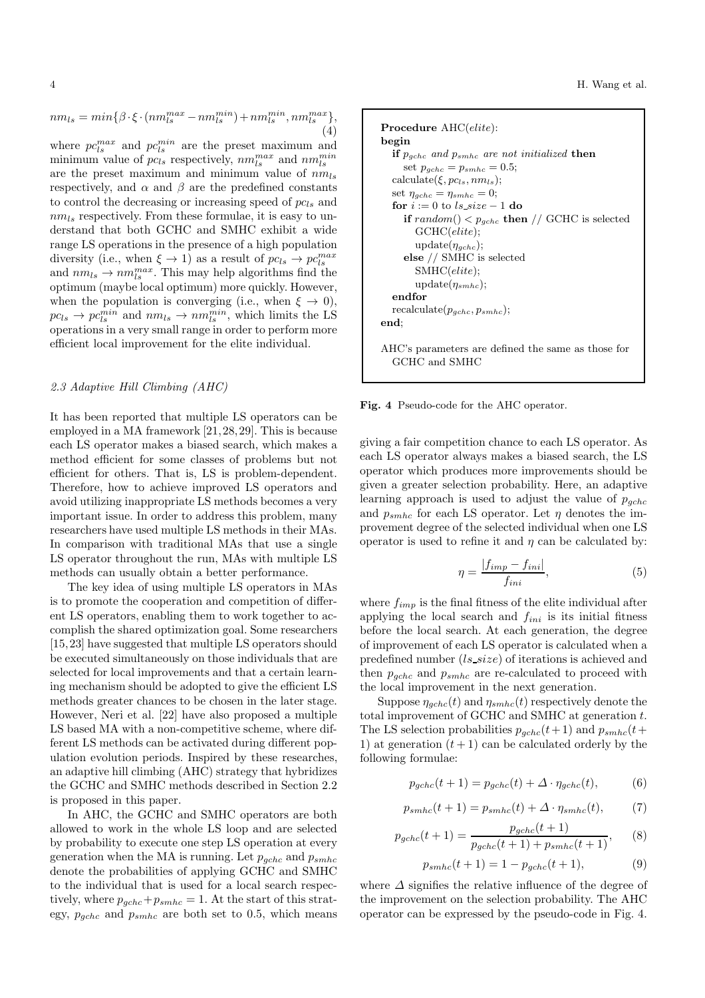$$
nm_{ls} = min\{\beta \cdot \xi \cdot (nm_{ls}^{max} - nm_{ls}^{min}) + nm_{ls}^{min}, nm_{ls}^{max}\},\tag{4}
$$

where  $pc_{ls}^{max}$  and  $pc_{ls}^{min}$  are the preset maximum and minimum value of  $pc_{ls}$  respectively,  $nm_{ls}^{max}$  and  $nm_{ls}^{min}$ are the preset maximum and minimum value of  $nm_{ls}$ respectively, and  $\alpha$  and  $\beta$  are the predefined constants to control the decreasing or increasing speed of  $pc_{ls}$  and  $nm_l$ , respectively. From these formulae, it is easy to understand that both GCHC and SMHC exhibit a wide range LS operations in the presence of a high population diversity (i.e., when  $\xi \to 1$ ) as a result of  $pc_{ls} \to pc_{ls}^{max}$ and  $nm_{ls} \rightarrow nm_{ls}^{max}$ . This may help algorithms find the optimum (maybe local optimum) more quickly. However, when the population is converging (i.e., when  $\xi \to 0$ ),  $pc_{ls} \rightarrow pc_{ls}^{min}$  and  $nm_{ls} \rightarrow nm_{ls}^{min}$ , which limits the LS operations in a very small range in order to perform more efficient local improvement for the elite individual.

## 2.3 Adaptive Hill Climbing (AHC)

It has been reported that multiple LS operators can be employed in a MA framework [21,28,29]. This is because each LS operator makes a biased search, which makes a method efficient for some classes of problems but not efficient for others. That is, LS is problem-dependent. Therefore, how to achieve improved LS operators and avoid utilizing inappropriate LS methods becomes a very important issue. In order to address this problem, many researchers have used multiple LS methods in their MAs. In comparison with traditional MAs that use a single LS operator throughout the run, MAs with multiple LS methods can usually obtain a better performance.

The key idea of using multiple LS operators in MAs is to promote the cooperation and competition of different LS operators, enabling them to work together to accomplish the shared optimization goal. Some researchers [15,23] have suggested that multiple LS operators should be executed simultaneously on those individuals that are selected for local improvements and that a certain learning mechanism should be adopted to give the efficient LS methods greater chances to be chosen in the later stage. However, Neri et al. [22] have also proposed a multiple LS based MA with a non-competitive scheme, where different LS methods can be activated during different population evolution periods. Inspired by these researches, an adaptive hill climbing (AHC) strategy that hybridizes the GCHC and SMHC methods described in Section 2.2 is proposed in this paper.

In AHC, the GCHC and SMHC operators are both allowed to work in the whole LS loop and are selected by probability to execute one step LS operation at every generation when the MA is running. Let  $p_{gche}$  and  $p_{smhc}$ denote the probabilities of applying GCHC and SMHC to the individual that is used for a local search respectively, where  $p_{gchc}+p_{smhc} = 1$ . At the start of this strategy,  $p_{gche}$  and  $p_{smhc}$  are both set to 0.5, which means

**Proceedure** AHC(*elite*):  
\nbegin  
\n**begin**  
\n**if** 
$$
p_{gche}
$$
 and  $p_{smhc}$  are not initialized **then**  
\nset  $p_{gche} = p_{smhc} = 0.5$ ;  
\ncalculate( $\xi$ ,  $pc_{ls}$ ,  $nm_{ls}$ );  
\nset  $\eta_{gche} = \eta_{smhc} = 0$ ;  
\n**for**  $i := 0$  to  $ls\_size - 1$  **do**  
\n**if**  $random() < p_{gche}$  **then** // GCHC is selected  
\nGCHC(*elite*);  
\nupdate( $\eta_{gche}$ );  
\n**else** // SMHC is selected  
\nSMHC(*elite*);  
\nupdate( $\eta_{smhc}$ );  
\n**endfor**  
\nrecalculate( $p_{gche}, p_{smhc}$ );  
\n**end;**  
\nAHC's parameters are defined the same as those for GCHC and SMHC

Fig. 4 Pseudo-code for the AHC operator.

giving a fair competition chance to each LS operator. As each LS operator always makes a biased search, the LS operator which produces more improvements should be given a greater selection probability. Here, an adaptive learning approach is used to adjust the value of  $p_{gche}$ and  $p_{smhc}$  for each LS operator. Let  $\eta$  denotes the improvement degree of the selected individual when one LS operator is used to refine it and  $\eta$  can be calculated by:

$$
\eta = \frac{|f_{imp} - f_{ini}|}{f_{ini}},\tag{5}
$$

where  $f_{imp}$  is the final fitness of the elite individual after applying the local search and  $f_{ini}$  is its initial fitness before the local search. At each generation, the degree of improvement of each LS operator is calculated when a predefined number (ls size) of iterations is achieved and then  $p_{gche}$  and  $p_{smhc}$  are re-calculated to proceed with the local improvement in the next generation.

Suppose  $\eta_{gchc}(t)$  and  $\eta_{smhc}(t)$  respectively denote the total improvement of GCHC and SMHC at generation t. The LS selection probabilities  $p_{gchc}(t+1)$  and  $p_{smhc}(t+$ 1) at generation  $(t+1)$  can be calculated orderly by the following formulae:

$$
p_{gchc}(t+1) = p_{gchc}(t) + \Delta \cdot \eta_{gchc}(t), \tag{6}
$$

$$
p_{smhc}(t+1) = p_{smhc}(t) + \Delta \cdot \eta_{smhc}(t), \tag{7}
$$

$$
p_{gchc}(t+1) = \frac{p_{gchc}(t+1)}{p_{gchc}(t+1) + p_{smhc}(t+1)},
$$
 (8)

$$
p_{smhc}(t+1) = 1 - p_{gchc}(t+1),
$$
\n(9)

where  $\Delta$  signifies the relative influence of the degree of the improvement on the selection probability. The AHC operator can be expressed by the pseudo-code in Fig. 4.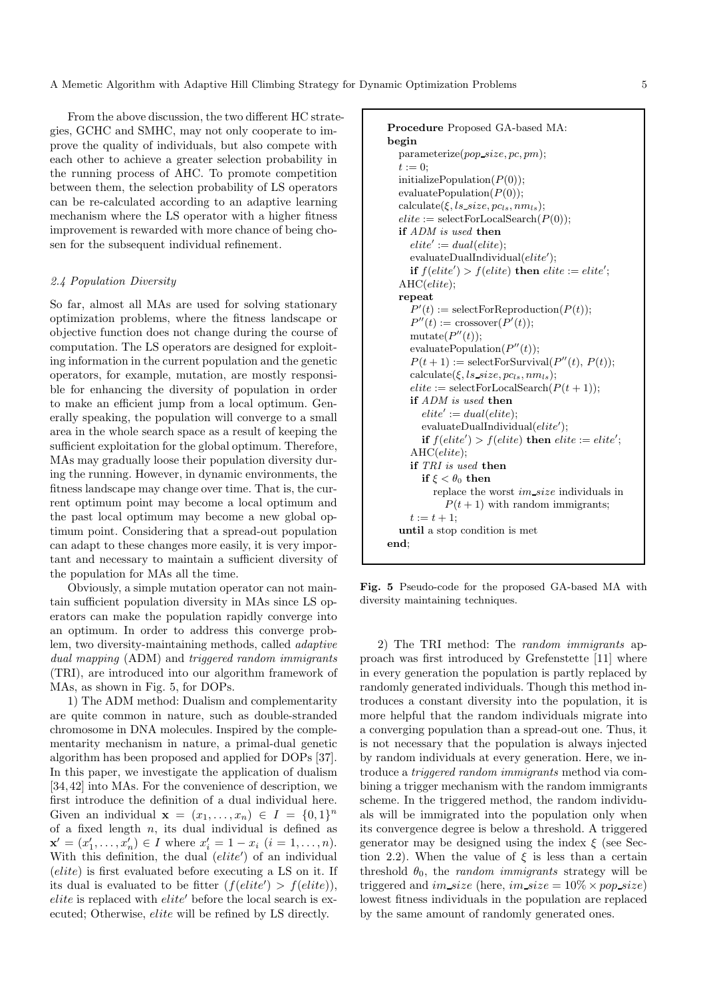From the above discussion, the two different HC strategies, GCHC and SMHC, may not only cooperate to improve the quality of individuals, but also compete with each other to achieve a greater selection probability in the running process of AHC. To promote competition between them, the selection probability of LS operators can be re-calculated according to an adaptive learning mechanism where the LS operator with a higher fitness improvement is rewarded with more chance of being chosen for the subsequent individual refinement.

### 2.4 Population Diversity

So far, almost all MAs are used for solving stationary optimization problems, where the fitness landscape or objective function does not change during the course of computation. The LS operators are designed for exploiting information in the current population and the genetic operators, for example, mutation, are mostly responsible for enhancing the diversity of population in order to make an efficient jump from a local optimum. Generally speaking, the population will converge to a small area in the whole search space as a result of keeping the sufficient exploitation for the global optimum. Therefore, MAs may gradually loose their population diversity during the running. However, in dynamic environments, the fitness landscape may change over time. That is, the current optimum point may become a local optimum and the past local optimum may become a new global optimum point. Considering that a spread-out population can adapt to these changes more easily, it is very important and necessary to maintain a sufficient diversity of the population for MAs all the time.

Obviously, a simple mutation operator can not maintain sufficient population diversity in MAs since LS operators can make the population rapidly converge into an optimum. In order to address this converge problem, two diversity-maintaining methods, called adaptive dual mapping (ADM) and triggered random immigrants (TRI), are introduced into our algorithm framework of MAs, as shown in Fig. 5, for DOPs.

1) The ADM method: Dualism and complementarity are quite common in nature, such as double-stranded chromosome in DNA molecules. Inspired by the complementarity mechanism in nature, a primal-dual genetic algorithm has been proposed and applied for DOPs [37]. In this paper, we investigate the application of dualism [34,42] into MAs. For the convenience of description, we first introduce the definition of a dual individual here. Given an individual  $\mathbf{x} = (x_1, \ldots, x_n) \in I = \{0, 1\}^n$ of a fixed length  $n$ , its dual individual is defined as  $\mathbf{x}' = (x'_1, \dots, x'_n) \in I$  where  $x'_i = 1 - x_i$   $(i = 1, \dots, n)$ . With this definition, the dual (elite') of an individual (elite) is first evaluated before executing a LS on it. If its dual is evaluated to be fitter  $(f(elite') > f(e lite)),$ elite is replaced with elite' before the local search is executed; Otherwise, elite will be refined by LS directly.

```
Procedure Proposed GA-based MA:
begin
  parameterize(pop\_size, pc, pm);t := 0:
  initializePopulation(P(0));
  evaluatePopulation(P(0));
  calculate(\xi, ls\_size, pc_{ls}, nm_{ls});elite := selectForLocalSearch(P(0));if ADM is used then
     elite' := dual(elite);evaluateDualIndivial (elite');if f(elite') > f(elite) then elite := elite';AHC(elite);
  repeat
     P'(t) := \text{selectForReproduction}(P(t));P''(t) := \text{crossover}(P'(t));\text{mutate}(P''(t));evaluatePopulation(P''(t));P(t+1) := \text{selectForSurvival}(P''(t), P(t));calculate(\xi, ls\_size, pc_{ls}, nm_{ls});elite := selectForLocalSearch(P(t + 1));if ADM is used then
        elite' := dual(elite);evaluateDualIndivial (elite');if f(elite') > f(elite) then elite := elite';AHC(elite);
    if TRI is used then
       if \xi < \theta_0 then
          replace the worst im size individuals in
            P(t + 1) with random immigrants;
    t := t + 1;until a stop condition is met
end;
```
Fig. 5 Pseudo-code for the proposed GA-based MA with diversity maintaining techniques.

2) The TRI method: The random immigrants approach was first introduced by Grefenstette [11] where in every generation the population is partly replaced by randomly generated individuals. Though this method introduces a constant diversity into the population, it is more helpful that the random individuals migrate into a converging population than a spread-out one. Thus, it is not necessary that the population is always injected by random individuals at every generation. Here, we introduce a triggered random immigrants method via combining a trigger mechanism with the random immigrants scheme. In the triggered method, the random individuals will be immigrated into the population only when its convergence degree is below a threshold. A triggered generator may be designed using the index  $\xi$  (see Section 2.2). When the value of  $\xi$  is less than a certain threshold  $\theta_0$ , the *random immigrants* strategy will be triggered and  $im\_size$  (here,  $im\_size = 10\% \times pop\_size$ ) lowest fitness individuals in the population are replaced by the same amount of randomly generated ones.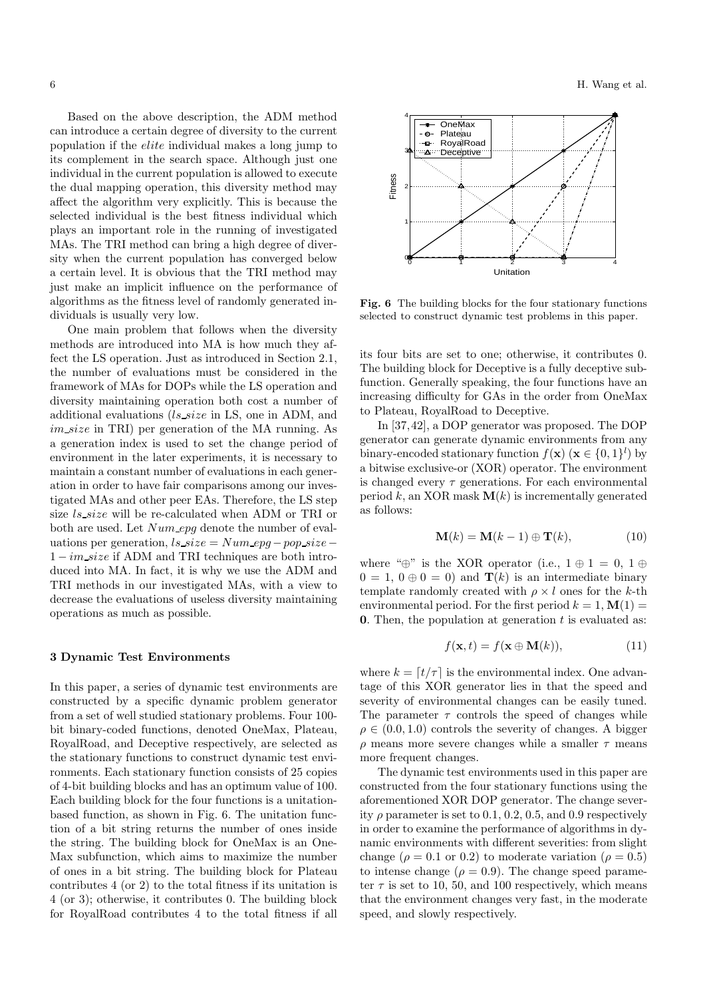Based on the above description, the ADM method can introduce a certain degree of diversity to the current population if the elite individual makes a long jump to its complement in the search space. Although just one individual in the current population is allowed to execute the dual mapping operation, this diversity method may affect the algorithm very explicitly. This is because the selected individual is the best fitness individual which plays an important role in the running of investigated MAs. The TRI method can bring a high degree of diversity when the current population has converged below a certain level. It is obvious that the TRI method may just make an implicit influence on the performance of algorithms as the fitness level of randomly generated individuals is usually very low.

One main problem that follows when the diversity methods are introduced into MA is how much they affect the LS operation. Just as introduced in Section 2.1, the number of evaluations must be considered in the framework of MAs for DOPs while the LS operation and diversity maintaining operation both cost a number of additional evaluations (ls size in LS, one in ADM, and im size in TRI) per generation of the MA running. As a generation index is used to set the change period of environment in the later experiments, it is necessary to maintain a constant number of evaluations in each generation in order to have fair comparisons among our investigated MAs and other peer EAs. Therefore, the LS step size ls size will be re-calculated when ADM or TRI or both are used. Let  $Num\_{epq}$  denote the number of evaluations per generation,  $ls\_size = Num\_epq - pop\_size 1 - im\_size$  if ADM and TRI techniques are both introduced into MA. In fact, it is why we use the ADM and TRI methods in our investigated MAs, with a view to decrease the evaluations of useless diversity maintaining operations as much as possible.

#### 3 Dynamic Test Environments

In this paper, a series of dynamic test environments are constructed by a specific dynamic problem generator from a set of well studied stationary problems. Four 100 bit binary-coded functions, denoted OneMax, Plateau, RoyalRoad, and Deceptive respectively, are selected as the stationary functions to construct dynamic test environments. Each stationary function consists of 25 copies of 4-bit building blocks and has an optimum value of 100. Each building block for the four functions is a unitationbased function, as shown in Fig. 6. The unitation function of a bit string returns the number of ones inside the string. The building block for OneMax is an One-Max subfunction, which aims to maximize the number of ones in a bit string. The building block for Plateau contributes 4 (or 2) to the total fitness if its unitation is 4 (or 3); otherwise, it contributes 0. The building block for RoyalRoad contributes 4 to the total fitness if all



Fig. 6 The building blocks for the four stationary functions selected to construct dynamic test problems in this paper.

its four bits are set to one; otherwise, it contributes 0. The building block for Deceptive is a fully deceptive subfunction. Generally speaking, the four functions have an increasing difficulty for GAs in the order from OneMax to Plateau, RoyalRoad to Deceptive.

In [37,42], a DOP generator was proposed. The DOP generator can generate dynamic environments from any binary-encoded stationary function  $f(\mathbf{x})$   $(\mathbf{x} \in \{0,1\}^l)$  by a bitwise exclusive-or (XOR) operator. The environment is changed every  $\tau$  generations. For each environmental period k, an XOR mask  $\mathbf{M}(k)$  is incrementally generated as follows:

$$
\mathbf{M}(k) = \mathbf{M}(k-1) \oplus \mathbf{T}(k),\tag{10}
$$

where " $\oplus$ " is the XOR operator (i.e.,  $1 \oplus 1 = 0, 1 \oplus$  $0 = 1, 0 \oplus 0 = 0$  and  $\mathbf{T}(k)$  is an intermediate binary template randomly created with  $\rho \times l$  ones for the k-th environmental period. For the first period  $k = 1, M(1) =$ 0. Then, the population at generation  $t$  is evaluated as:

$$
f(\mathbf{x},t) = f(\mathbf{x} \oplus \mathbf{M}(k)),\tag{11}
$$

where  $k = \lfloor t/\tau \rfloor$  is the environmental index. One advantage of this XOR generator lies in that the speed and severity of environmental changes can be easily tuned. The parameter  $\tau$  controls the speed of changes while  $\rho \in (0.0, 1.0)$  controls the severity of changes. A bigger ρ means more severe changes while a smaller τ means more frequent changes.

The dynamic test environments used in this paper are constructed from the four stationary functions using the aforementioned XOR DOP generator. The change severity  $\rho$  parameter is set to 0.1, 0.2, 0.5, and 0.9 respectively in order to examine the performance of algorithms in dynamic environments with different severities: from slight change ( $\rho = 0.1$  or 0.2) to moderate variation ( $\rho = 0.5$ ) to intense change ( $\rho = 0.9$ ). The change speed parameter  $\tau$  is set to 10, 50, and 100 respectively, which means that the environment changes very fast, in the moderate speed, and slowly respectively.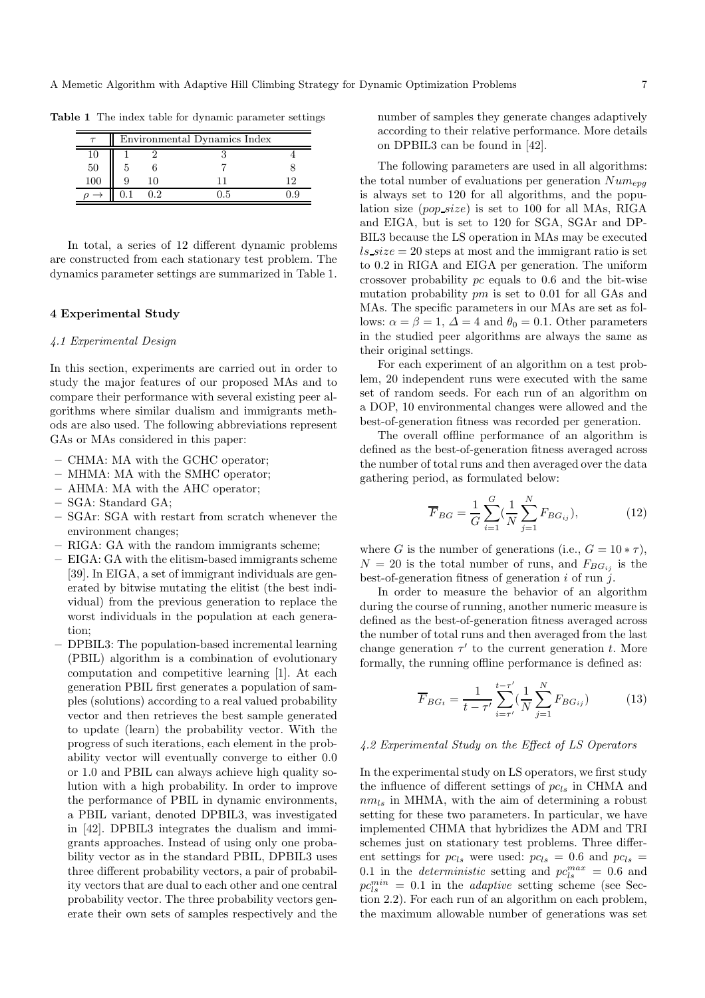Table 1 The index table for dynamic parameter settings

|     | Environmental Dynamics Index |     |     |    |  |  |  |  |  |
|-----|------------------------------|-----|-----|----|--|--|--|--|--|
| 10  |                              |     |     |    |  |  |  |  |  |
| 50  | 5                            |     |     |    |  |  |  |  |  |
| 100 |                              | 10  | 11  | 19 |  |  |  |  |  |
|     |                              | - 2 | 0.5 |    |  |  |  |  |  |

In total, a series of 12 different dynamic problems are constructed from each stationary test problem. The dynamics parameter settings are summarized in Table 1.

### 4 Experimental Study

#### 4.1 Experimental Design

In this section, experiments are carried out in order to study the major features of our proposed MAs and to compare their performance with several existing peer algorithms where similar dualism and immigrants methods are also used. The following abbreviations represent GAs or MAs considered in this paper:

- CHMA: MA with the GCHC operator;
- MHMA: MA with the SMHC operator;
- AHMA: MA with the AHC operator;
- SGA: Standard GA;
- SGAr: SGA with restart from scratch whenever the environment changes;
- RIGA: GA with the random immigrants scheme;
- EIGA: GA with the elitism-based immigrants scheme [39]. In EIGA, a set of immigrant individuals are generated by bitwise mutating the elitist (the best individual) from the previous generation to replace the worst individuals in the population at each generation;
- DPBIL3: The population-based incremental learning (PBIL) algorithm is a combination of evolutionary computation and competitive learning [1]. At each generation PBIL first generates a population of samples (solutions) according to a real valued probability vector and then retrieves the best sample generated to update (learn) the probability vector. With the progress of such iterations, each element in the probability vector will eventually converge to either 0.0 or 1.0 and PBIL can always achieve high quality solution with a high probability. In order to improve the performance of PBIL in dynamic environments, a PBIL variant, denoted DPBIL3, was investigated in [42]. DPBIL3 integrates the dualism and immigrants approaches. Instead of using only one probability vector as in the standard PBIL, DPBIL3 uses three different probability vectors, a pair of probability vectors that are dual to each other and one central probability vector. The three probability vectors generate their own sets of samples respectively and the

number of samples they generate changes adaptively according to their relative performance. More details on DPBIL3 can be found in [42].

The following parameters are used in all algorithms: the total number of evaluations per generation  $Num_{epq}$ is always set to 120 for all algorithms, and the population size  $(pop\_size)$  is set to 100 for all MAs, RIGA and EIGA, but is set to 120 for SGA, SGAr and DP-BIL3 because the LS operation in MAs may be executed  $ls\_size = 20$  steps at most and the immigrant ratio is set to 0.2 in RIGA and EIGA per generation. The uniform crossover probability pc equals to 0.6 and the bit-wise mutation probability  $pm$  is set to 0.01 for all GAs and MAs. The specific parameters in our MAs are set as follows:  $\alpha = \beta = 1$ ,  $\Delta = 4$  and  $\theta_0 = 0.1$ . Other parameters in the studied peer algorithms are always the same as their original settings.

For each experiment of an algorithm on a test problem, 20 independent runs were executed with the same set of random seeds. For each run of an algorithm on a DOP, 10 environmental changes were allowed and the best-of-generation fitness was recorded per generation.

The overall offline performance of an algorithm is defined as the best-of-generation fitness averaged across the number of total runs and then averaged over the data gathering period, as formulated below:

$$
\overline{F}_{BG} = \frac{1}{G} \sum_{i=1}^{G} \left(\frac{1}{N} \sum_{j=1}^{N} F_{BG_{ij}}\right),\tag{12}
$$

where G is the number of generations (i.e.,  $G = 10 * \tau$ ),  $N = 20$  is the total number of runs, and  $F_{BG_{ij}}$  is the best-of-generation fitness of generation  $i$  of run  $j$ .

In order to measure the behavior of an algorithm during the course of running, another numeric measure is defined as the best-of-generation fitness averaged across the number of total runs and then averaged from the last change generation  $\tau'$  to the current generation t. More formally, the running offline performance is defined as:

$$
\overline{F}_{BG_t} = \frac{1}{t - \tau'} \sum_{i = \tau'}^{t - \tau'} \left(\frac{1}{N} \sum_{j=1}^{N} F_{BG_{ij}}\right)
$$
(13)

## 4.2 Experimental Study on the Effect of LS Operators

In the experimental study on LS operators, we first study the influence of different settings of  $pc_{ls}$  in CHMA and  $nm_{ls}$  in MHMA, with the aim of determining a robust setting for these two parameters. In particular, we have implemented CHMA that hybridizes the ADM and TRI schemes just on stationary test problems. Three different settings for  $pc_{ls}$  were used:  $pc_{ls} = 0.6$  and  $pc_{ls} =$ 0.1 in the *deterministic* setting and  $pc_{ls}^{max} = 0.6$  and  $pc_{ls}^{min} = 0.1$  in the *adaptive* setting scheme (see Section 2.2). For each run of an algorithm on each problem, the maximum allowable number of generations was set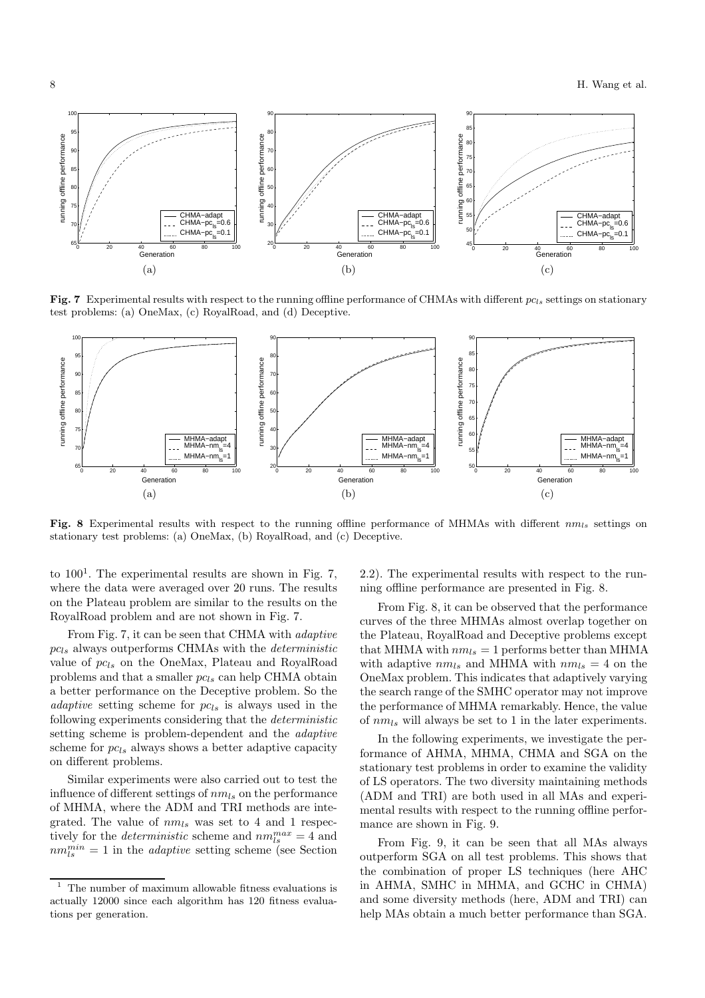

Fig. 7 Experimental results with respect to the running offline performance of CHMAs with different  $pc<sub>ls</sub>$  settings on stationary test problems: (a) OneMax, (c) RoyalRoad, and (d) Deceptive.



Fig. 8 Experimental results with respect to the running offline performance of MHMAs with different  $nm_{ls}$  settings on stationary test problems: (a) OneMax, (b) RoyalRoad, and (c) Deceptive.

to  $100<sup>1</sup>$ . The experimental results are shown in Fig. 7, where the data were averaged over 20 runs. The results on the Plateau problem are similar to the results on the RoyalRoad problem and are not shown in Fig. 7.

From Fig. 7, it can be seen that CHMA with adaptive  $pc_{ls}$  always outperforms CHMAs with the *deterministic* value of  $pc_{ls}$  on the OneMax, Plateau and RoyalRoad problems and that a smaller  $pc_{ls}$  can help CHMA obtain a better performance on the Deceptive problem. So the adaptive setting scheme for  $pc_{ls}$  is always used in the following experiments considering that the deterministic setting scheme is problem-dependent and the adaptive scheme for  $pc_{ls}$  always shows a better adaptive capacity on different problems.

Similar experiments were also carried out to test the influence of different settings of  $nm_{ls}$  on the performance of MHMA, where the ADM and TRI methods are integrated. The value of  $nm_{ls}$  was set to 4 and 1 respectively for the *deterministic* scheme and  $nm_{ls}^{max} = 4$  and  $nm_{ls}^{min} = 1$  in the *adaptive* setting scheme (see Section

2.2). The experimental results with respect to the running offline performance are presented in Fig. 8.

From Fig. 8, it can be observed that the performance curves of the three MHMAs almost overlap together on the Plateau, RoyalRoad and Deceptive problems except that MHMA with  $nm_{ls} = 1$  performs better than MHMA with adaptive  $nm_{ls}$  and MHMA with  $nm_{ls} = 4$  on the OneMax problem. This indicates that adaptively varying the search range of the SMHC operator may not improve the performance of MHMA remarkably. Hence, the value of  $nm_{ls}$  will always be set to 1 in the later experiments.

In the following experiments, we investigate the performance of AHMA, MHMA, CHMA and SGA on the stationary test problems in order to examine the validity of LS operators. The two diversity maintaining methods (ADM and TRI) are both used in all MAs and experimental results with respect to the running offline performance are shown in Fig. 9.

From Fig. 9, it can be seen that all MAs always outperform SGA on all test problems. This shows that the combination of proper LS techniques (here AHC in AHMA, SMHC in MHMA, and GCHC in CHMA) and some diversity methods (here, ADM and TRI) can help MAs obtain a much better performance than SGA.

 $1$  The number of maximum allowable fitness evaluations is actually 12000 since each algorithm has 120 fitness evaluations per generation.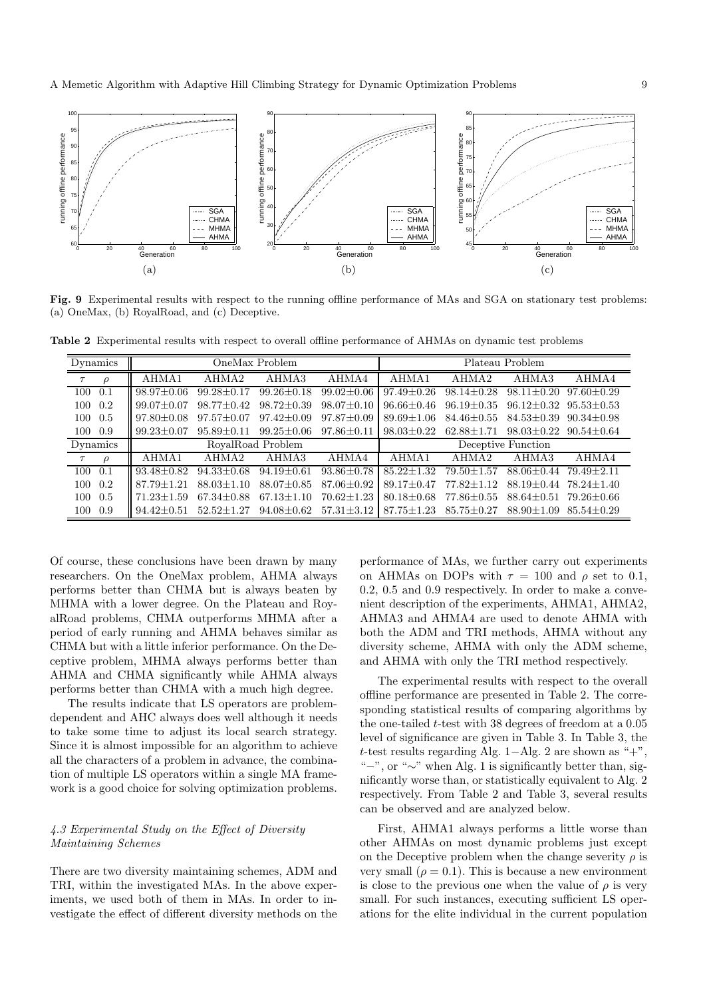

Fig. 9 Experimental results with respect to the running offline performance of MAs and SGA on stationary test problems: (a) OneMax, (b) RoyalRoad, and (c) Deceptive.

Table 2 Experimental results with respect to overall offline performance of AHMAs on dynamic test problems

| Dynamics         |                  |                  | OneMax Problem    |                  | Plateau Problem    |                  |                  |                |  |  |  |
|------------------|------------------|------------------|-------------------|------------------|--------------------|------------------|------------------|----------------|--|--|--|
| $\tau$<br>$\rho$ | AHMA1            | AHMA2            | AHMA3             | AHMA4            | AHMA1              | AHMA2            | AHMA3            | AHMA4          |  |  |  |
| 100 0.1          | $98.97 + 0.06$   | $99.28 + 0.17$   | $99.26 \pm 0.18$  | $99.02 \pm 0.06$ | $97.49 + 0.26$     | $98.14 \pm 0.28$ | $98.11 + 0.20$   | $97.60 + 0.29$ |  |  |  |
| 100 0.2          | $99.07 + 0.07$   | $98.77 + 0.42$   | $98.72 + 0.39$    | $98.07 + 0.10$   | $96.66 + 0.46$     | $96.19 + 0.35$   | $96.12 + 0.32$   | $95.53 + 0.53$ |  |  |  |
| 100 0.5          | $97.80 \pm 0.08$ | $97.57 + 0.07$   | $97.42 + 0.09$    | $97.87 + 0.09$   | $89.69 + 1.06$     | $84.46 \pm 0.55$ | $84.53 + 0.39$   | $90.34 + 0.98$ |  |  |  |
| 100 0.9          | $99.23 \pm 0.07$ | $95.89 + 0.11$   | $99.25 \pm 0.06$  | $97.86 \pm 0.11$ | $98.03 \pm 0.22$   | $62.88 \pm 1.71$ | $98.03 \pm 0.22$ | $90.54 + 0.64$ |  |  |  |
| Dynamics         |                  |                  | RoyalRoad Problem |                  | Deceptive Function |                  |                  |                |  |  |  |
| $\tau$<br>$\rho$ | AHMA1            | AHMA2            | AHMA3             | AHMA4            | AHMA1              | AHMA2            | AHMA3            | AHMA4          |  |  |  |
| 100 0.1          | $93.48 + 0.82$   | $94.33 + 0.68$   | $94.19 \pm 0.61$  | $93.86 \pm 0.78$ | $85.22 + 1.32$     | $79.50 \pm 1.57$ | $88.06 + 0.44$   | $79.49 + 2.11$ |  |  |  |
| 100 0.2          | $87.79 + 1.21$   | $88.03 \pm 1.10$ | $88.07 + 0.85$    | $87.06 \pm 0.92$ | $89.17 + 0.47$     | $77.82 \pm 1.12$ | $88.19 + 0.44$   | $78.24 + 1.40$ |  |  |  |
| 100 0.5          | $71.23 + 1.59$   | $67.34 + 0.88$   | $67.13 + 1.10$    | $70.62 + 1.23$   | $80.18 + 0.68$     | $77.86 + 0.55$   | $88.64 + 0.51$   | $79.26 + 0.66$ |  |  |  |
| 100 0.9          | $94.42 \pm 0.51$ | $52.52 + 1.27$   | $94.08 + 0.62$    | $57.31 \pm 3.12$ | $87.75 + 1.23$     | $85.75 + 0.27$   | $88.90 + 1.09$   | $85.54 + 0.29$ |  |  |  |

Of course, these conclusions have been drawn by many researchers. On the OneMax problem, AHMA always performs better than CHMA but is always beaten by MHMA with a lower degree. On the Plateau and RoyalRoad problems, CHMA outperforms MHMA after a period of early running and AHMA behaves similar as CHMA but with a little inferior performance. On the Deceptive problem, MHMA always performs better than AHMA and CHMA significantly while AHMA always performs better than CHMA with a much high degree.

The results indicate that LS operators are problemdependent and AHC always does well although it needs to take some time to adjust its local search strategy. Since it is almost impossible for an algorithm to achieve all the characters of a problem in advance, the combination of multiple LS operators within a single MA framework is a good choice for solving optimization problems.

# 4.3 Experimental Study on the Effect of Diversity Maintaining Schemes

There are two diversity maintaining schemes, ADM and TRI, within the investigated MAs. In the above experiments, we used both of them in MAs. In order to investigate the effect of different diversity methods on the performance of MAs, we further carry out experiments on AHMAs on DOPs with  $\tau = 100$  and  $\rho$  set to 0.1, 0.2, 0.5 and 0.9 respectively. In order to make a convenient description of the experiments, AHMA1, AHMA2, AHMA3 and AHMA4 are used to denote AHMA with both the ADM and TRI methods, AHMA without any diversity scheme, AHMA with only the ADM scheme, and AHMA with only the TRI method respectively.

The experimental results with respect to the overall offline performance are presented in Table 2. The corresponding statistical results of comparing algorithms by the one-tailed t-test with 38 degrees of freedom at a 0.05 level of significance are given in Table 3. In Table 3, the t-test results regarding Alg.  $1-\text{Alg}$ . 2 are shown as "+", "−", or "∼" when Alg. 1 is significantly better than, significantly worse than, or statistically equivalent to Alg. 2 respectively. From Table 2 and Table 3, several results can be observed and are analyzed below.

First, AHMA1 always performs a little worse than other AHMAs on most dynamic problems just except on the Deceptive problem when the change severity  $\rho$  is very small  $(\rho = 0.1)$ . This is because a new environment is close to the previous one when the value of  $\rho$  is very small. For such instances, executing sufficient LS operations for the elite individual in the current population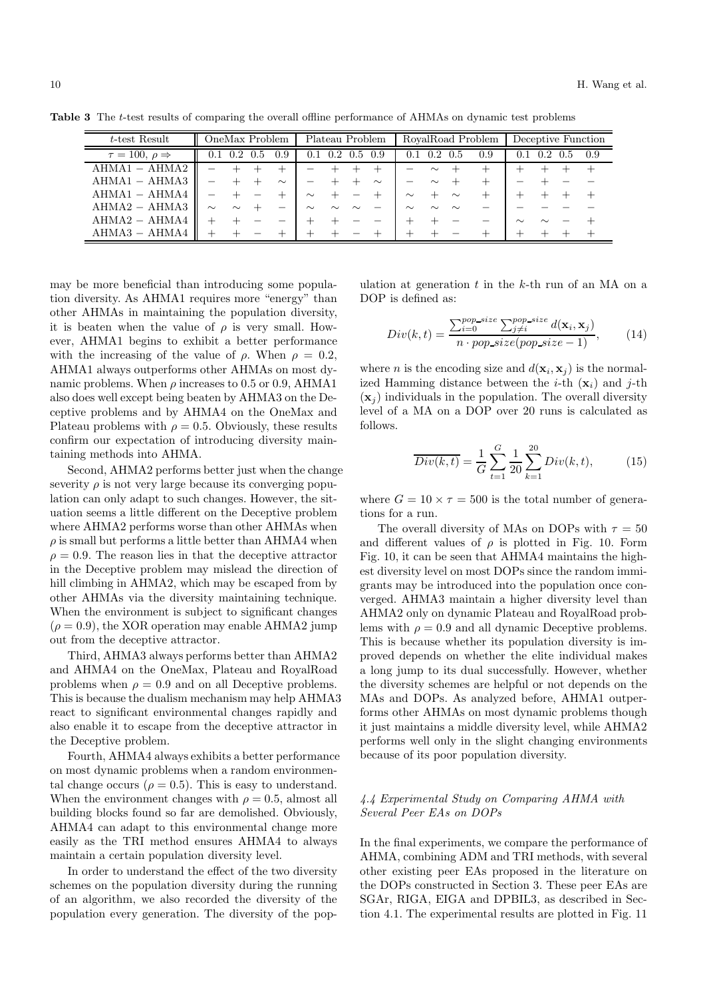| $t$ -test Result                 | OneMax Problem             | Plateau Problem             | RoyalRoad Problem   Deceptive Function |                         |  |  |  |
|----------------------------------|----------------------------|-----------------------------|----------------------------------------|-------------------------|--|--|--|
| $\tau = 100, \ \rho \Rightarrow$ | $0.1 \t 0.2 \t 0.5$<br>0.9 | $\parallel$ 0.1 0.2 0.5 0.9 | $0.1 \quad 0.2 \quad 0.5$<br>0.9       | $0.1$ $0.2$ $0.5$ $0.9$ |  |  |  |
| $AHMA1 - AHMA2$                  |                            |                             | $\sim$                                 |                         |  |  |  |
| AHMA1 - AHMA3                    | $\sim$ $\sim$ $\sim$       | $\sim$                      | $\sim$                                 |                         |  |  |  |
| $AHMA1 - AHMA4$                  | $+$ $ +$                   | $ +$ $-$<br>$\sim$          | $\sim$<br>$\sim$                       |                         |  |  |  |

Table 3 The t-test results of comparing the overall offline performance of AHMAs on dynamic test problems

may be more beneficial than introducing some population diversity. As AHMA1 requires more "energy" than other AHMAs in maintaining the population diversity, it is beaten when the value of  $\rho$  is very small. However, AHMA1 begins to exhibit a better performance with the increasing of the value of  $\rho$ . When  $\rho = 0.2$ , AHMA1 always outperforms other AHMAs on most dynamic problems. When  $\rho$  increases to 0.5 or 0.9, AHMA1 also does well except being beaten by AHMA3 on the Deceptive problems and by AHMA4 on the OneMax and Plateau problems with  $\rho = 0.5$ . Obviously, these results confirm our expectation of introducing diversity maintaining methods into AHMA.

 $AHMA2 - AHMA3$  $AHMA2 - AHMA4$  $AHMA3 - AHMA4$ 

Second, AHMA2 performs better just when the change severity  $\rho$  is not very large because its converging population can only adapt to such changes. However, the situation seems a little different on the Deceptive problem where AHMA2 performs worse than other AHMAs when  $\rho$  is small but performs a little better than AHMA4 when  $\rho = 0.9$ . The reason lies in that the deceptive attractor in the Deceptive problem may mislead the direction of hill climbing in AHMA2, which may be escaped from by other AHMAs via the diversity maintaining technique. When the environment is subject to significant changes  $(\rho = 0.9)$ , the XOR operation may enable AHMA2 jump out from the deceptive attractor.

Third, AHMA3 always performs better than AHMA2 and AHMA4 on the OneMax, Plateau and RoyalRoad problems when  $\rho = 0.9$  and on all Deceptive problems. This is because the dualism mechanism may help AHMA3 react to significant environmental changes rapidly and also enable it to escape from the deceptive attractor in the Deceptive problem.

Fourth, AHMA4 always exhibits a better performance on most dynamic problems when a random environmental change occurs ( $\rho = 0.5$ ). This is easy to understand. When the environment changes with  $\rho = 0.5$ , almost all building blocks found so far are demolished. Obviously, AHMA4 can adapt to this environmental change more easily as the TRI method ensures AHMA4 to always maintain a certain population diversity level.

In order to understand the effect of the two diversity schemes on the population diversity during the running of an algorithm, we also recorded the diversity of the population every generation. The diversity of the population at generation  $t$  in the  $k$ -th run of an MA on a DOP is defined as:

$$
Div(k, t) = \frac{\sum_{i=0}^{pop\_size} \sum_{j \neq i}^{pop\_size} d(\mathbf{x}_i, \mathbf{x}_j)}{n \cdot pop\_size(pop\_size - 1)},
$$
(14)

where *n* is the encoding size and  $d(\mathbf{x}_i, \mathbf{x}_j)$  is the normalized Hamming distance between the *i*-th  $(\mathbf{x}_i)$  and *j*-th  $(\mathbf{x}_i)$  individuals in the population. The overall diversity level of a MA on a DOP over 20 runs is calculated as follows.

$$
\overline{Div(k,t)} = \frac{1}{G} \sum_{t=1}^{G} \frac{1}{20} \sum_{k=1}^{20} Div(k,t),
$$
 (15)

where  $G = 10 \times \tau = 500$  is the total number of generations for a run.

The overall diversity of MAs on DOPs with  $\tau = 50$ and different values of  $\rho$  is plotted in Fig. 10. Form Fig. 10, it can be seen that AHMA4 maintains the highest diversity level on most DOPs since the random immigrants may be introduced into the population once converged. AHMA3 maintain a higher diversity level than AHMA2 only on dynamic Plateau and RoyalRoad problems with  $\rho = 0.9$  and all dynamic Deceptive problems. This is because whether its population diversity is improved depends on whether the elite individual makes a long jump to its dual successfully. However, whether the diversity schemes are helpful or not depends on the MAs and DOPs. As analyzed before, AHMA1 outperforms other AHMAs on most dynamic problems though it just maintains a middle diversity level, while AHMA2 performs well only in the slight changing environments because of its poor population diversity.

# 4.4 Experimental Study on Comparing AHMA with Several Peer EAs on DOPs

In the final experiments, we compare the performance of AHMA, combining ADM and TRI methods, with several other existing peer EAs proposed in the literature on the DOPs constructed in Section 3. These peer EAs are SGAr, RIGA, EIGA and DPBIL3, as described in Section 4.1. The experimental results are plotted in Fig. 11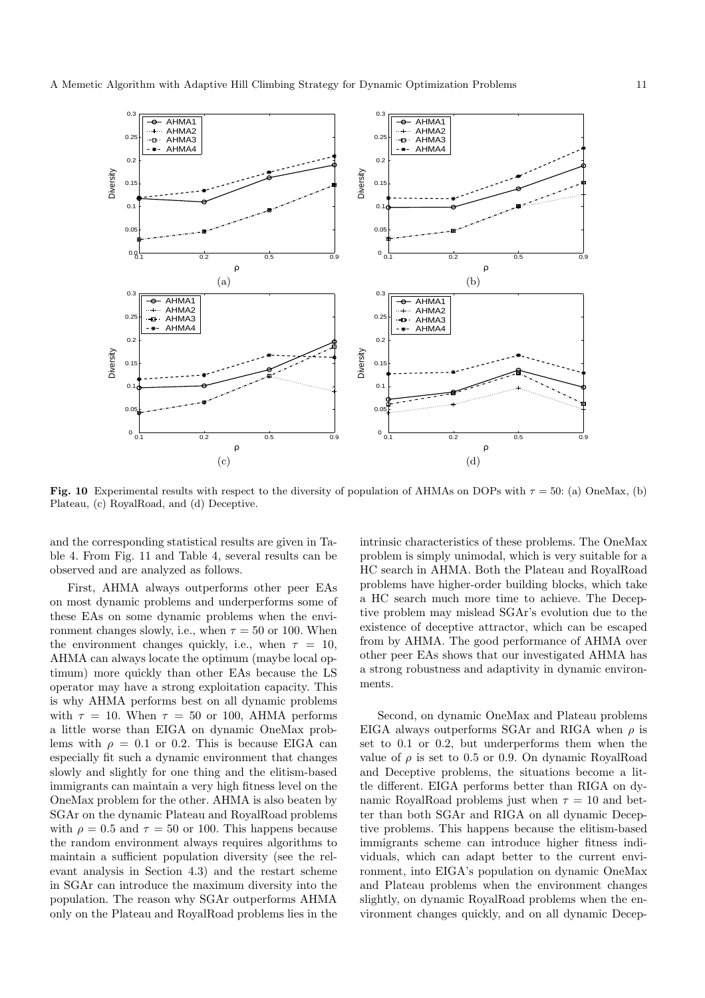

Fig. 10 Experimental results with respect to the diversity of population of AHMAs on DOPs with  $\tau = 50$ : (a) OneMax, (b) Plateau, (c) RoyalRoad, and (d) Deceptive.

and the corresponding statistical results are given in Table 4. From Fig. 11 and Table 4, several results can be observed and are analyzed as follows.

First, AHMA always outperforms other peer EAs on most dynamic problems and underperforms some of these EAs on some dynamic problems when the environment changes slowly, i.e., when  $\tau = 50$  or 100. When the environment changes quickly, i.e., when  $\tau = 10$ , AHMA can always locate the optimum (maybe local optimum) more quickly than other EAs because the LS operator may have a strong exploitation capacity. This is why AHMA performs best on all dynamic problems with  $\tau = 10$ . When  $\tau = 50$  or 100, AHMA performs a little worse than EIGA on dynamic OneMax problems with  $\rho = 0.1$  or 0.2. This is because EIGA can especially fit such a dynamic environment that changes slowly and slightly for one thing and the elitism-based immigrants can maintain a very high fitness level on the OneMax problem for the other. AHMA is also beaten by SGAr on the dynamic Plateau and RoyalRoad problems with  $\rho = 0.5$  and  $\tau = 50$  or 100. This happens because the random environment always requires algorithms to maintain a sufficient population diversity (see the relevant analysis in Section 4.3) and the restart scheme in SGAr can introduce the maximum diversity into the population. The reason why SGAr outperforms AHMA only on the Plateau and RoyalRoad problems lies in the intrinsic characteristics of these problems. The OneMax problem is simply unimodal, which is very suitable for a HC search in AHMA. Both the Plateau and RoyalRoad problems have higher-order building blocks, which take a HC search much more time to achieve. The Deceptive problem may mislead SGAr's evolution due to the existence of deceptive attractor, which can be escaped from by AHMA. The good performance of AHMA over other peer EAs shows that our investigated AHMA has a strong robustness and adaptivity in dynamic environments.

Second, on dynamic OneMax and Plateau problems EIGA always outperforms SGAr and RIGA when  $\rho$  is set to 0.1 or 0.2, but underperforms them when the value of  $\rho$  is set to 0.5 or 0.9. On dynamic RoyalRoad and Deceptive problems, the situations become a little different. EIGA performs better than RIGA on dynamic RoyalRoad problems just when  $\tau = 10$  and better than both SGAr and RIGA on all dynamic Deceptive problems. This happens because the elitism-based immigrants scheme can introduce higher fitness individuals, which can adapt better to the current environment, into EIGA's population on dynamic OneMax and Plateau problems when the environment changes slightly, on dynamic RoyalRoad problems when the environment changes quickly, and on all dynamic Decep-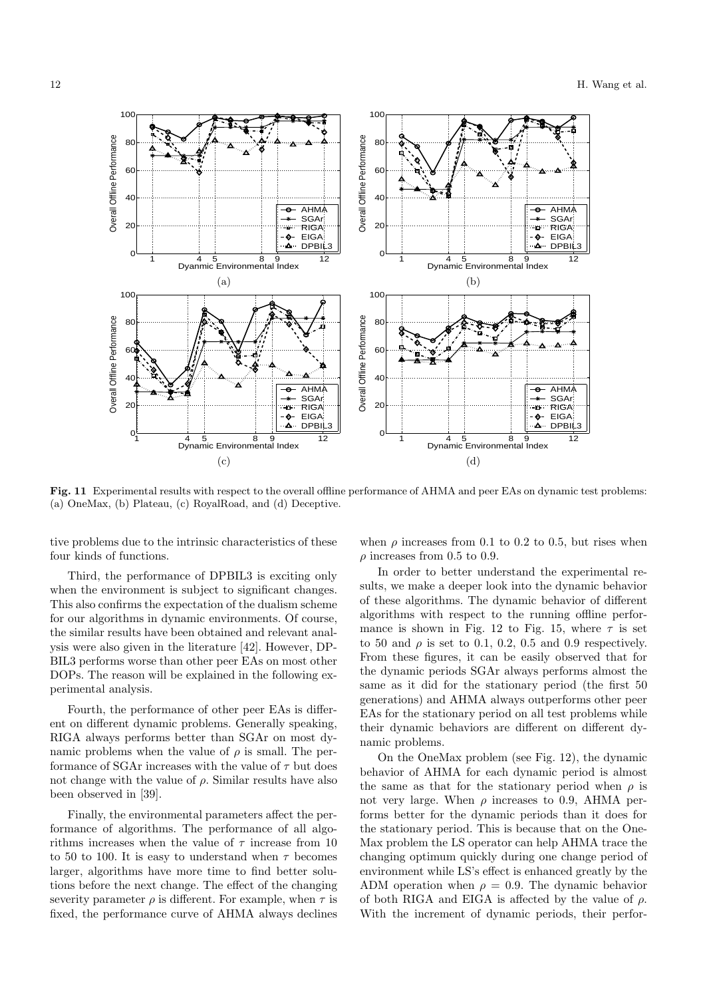$100$  $100$ Overall Offline Performance Overall Offline Performance Overall Offline Performance Overall Offline Performance 80 80 60 60  $\Delta($  $40$ **AHMA AHMA SGAr** SGAr 20 20 ֊, RIGA -6 RIGA  $\ddot{\bullet}$ EIGA  $\ddot{\bullet}$ EIGA DPBIL3 DPBIL 1 4 5 8 9 12<br>
Dyanmic Environmental Index 1 4 5 8 9 12<br>
12 Dynamic Environmental Index  $(a)$  (b) 100 100 Overall Offline Performance Overall Offline Performance Overall Offline Performance Overall Offline Performance 80 80 60 60 40 40 **AHMA AHMA** SGAr **SGAr**  $\overline{2}$ 20 ٠œ RIGA ۵þ, RIGA **EIGA** EIGA ♦ ٥ DPBIL DPBIL 0<br>1 4 5 8 9 12<br>Dynamic Environmental Index 1 4 5 8 9 12<br>1 Dynamic Environmental Index  $\qquad \qquad \textbf{(c)}\qquad \qquad \textbf{(d)}$ 

Fig. 11 Experimental results with respect to the overall offline performance of AHMA and peer EAs on dynamic test problems: (a) OneMax, (b) Plateau, (c) RoyalRoad, and (d) Deceptive.

tive problems due to the intrinsic characteristics of these four kinds of functions.

Third, the performance of DPBIL3 is exciting only when the environment is subject to significant changes. This also confirms the expectation of the dualism scheme for our algorithms in dynamic environments. Of course, the similar results have been obtained and relevant analysis were also given in the literature [42]. However, DP-BIL3 performs worse than other peer EAs on most other DOPs. The reason will be explained in the following experimental analysis.

Fourth, the performance of other peer EAs is different on different dynamic problems. Generally speaking, RIGA always performs better than SGAr on most dynamic problems when the value of  $\rho$  is small. The performance of SGAr increases with the value of  $\tau$  but does not change with the value of  $\rho$ . Similar results have also been observed in [39].

Finally, the environmental parameters affect the performance of algorithms. The performance of all algorithms increases when the value of  $\tau$  increase from 10 to 50 to 100. It is easy to understand when  $\tau$  becomes larger, algorithms have more time to find better solutions before the next change. The effect of the changing severity parameter  $\rho$  is different. For example, when  $\tau$  is fixed, the performance curve of AHMA always declines when  $\rho$  increases from 0.1 to 0.2 to 0.5, but rises when  $\rho$  increases from 0.5 to 0.9.

In order to better understand the experimental results, we make a deeper look into the dynamic behavior of these algorithms. The dynamic behavior of different algorithms with respect to the running offline performance is shown in Fig. 12 to Fig. 15, where  $\tau$  is set to 50 and  $\rho$  is set to 0.1, 0.2, 0.5 and 0.9 respectively. From these figures, it can be easily observed that for the dynamic periods SGAr always performs almost the same as it did for the stationary period (the first 50 generations) and AHMA always outperforms other peer EAs for the stationary period on all test problems while their dynamic behaviors are different on different dynamic problems.

On the OneMax problem (see Fig. 12), the dynamic behavior of AHMA for each dynamic period is almost the same as that for the stationary period when  $\rho$  is not very large. When  $\rho$  increases to 0.9, AHMA performs better for the dynamic periods than it does for the stationary period. This is because that on the One-Max problem the LS operator can help AHMA trace the changing optimum quickly during one change period of environment while LS's effect is enhanced greatly by the ADM operation when  $\rho = 0.9$ . The dynamic behavior of both RIGA and EIGA is affected by the value of  $\rho$ . With the increment of dynamic periods, their perfor-

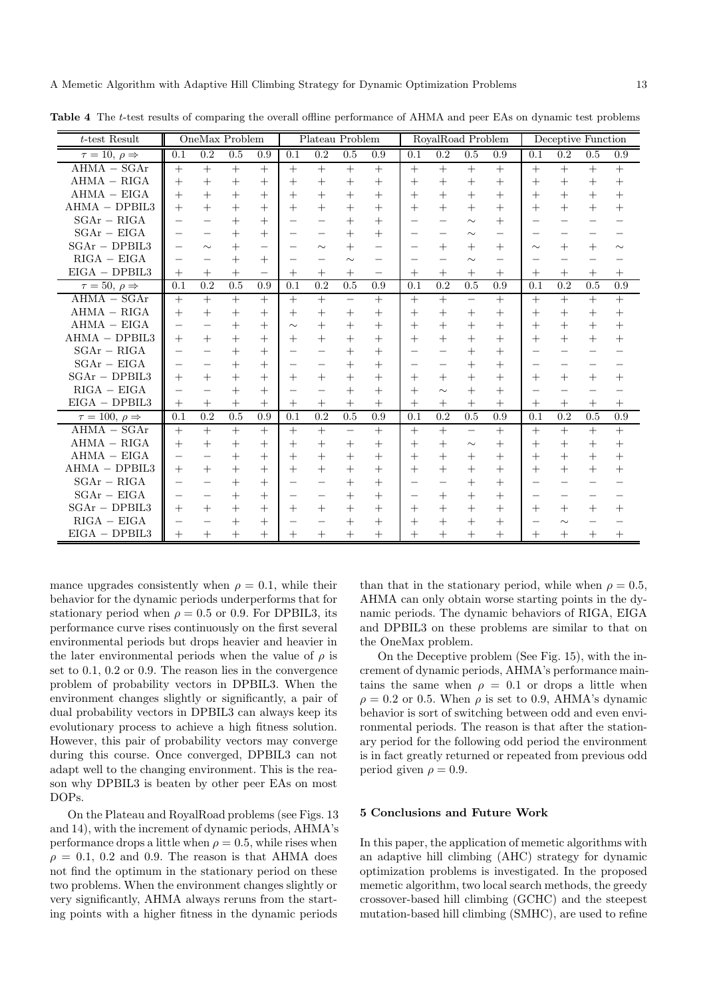| $t$ -test Result                           | OneMax Problem                  |                  |                  | Plateau Problem          |                          |                          | RoyalRoad Problem        |                          |                          |                  | Deceptive Function       |        |                          |                  |        |        |
|--------------------------------------------|---------------------------------|------------------|------------------|--------------------------|--------------------------|--------------------------|--------------------------|--------------------------|--------------------------|------------------|--------------------------|--------|--------------------------|------------------|--------|--------|
| $\overline{\tau = 10, \rho}$ $\Rightarrow$ | $\overline{0.1}$                | $\overline{0.2}$ | 0.5              | 0.9                      | 0.1                      | $\overline{0.2}$         | 0.5                      | 0.9                      | $\overline{0.1}$         | $\overline{0.2}$ | 0.5                      | 0.9    | $\overline{0.1}$         | $\overline{0.2}$ | 0.5    | 0.9    |
| $AHMA - SGAr$                              | $+$                             | $+$              | $^{+}$           | $^{+}$                   | $+$                      | $+$                      | $+$                      | $+$                      | $+$                      | $+$              | $+$                      | $+$    | $+$                      | $+$              | $+$    | $+$    |
| $AHMA - RIGA$                              | $+$                             | $+$              | $+$              | $^{+}$                   | $+$                      | $+$                      | $+$                      | $+$                      | $+$                      | $+$              | $+$                      | $+$    | $^{+}$                   | $^{+}$           | $^{+}$ | $^{+}$ |
| $AHMA - EIGA$                              | $+$                             | $^{+}$           | $+$              | $+$                      | $+$                      | $^{+}$                   | $+$                      | $^{+}$                   | $^{+}$                   | $+$              | $^{+}$                   | $+$    | $^{+}$                   | $+$              | $+$    | $+$    |
| $AHMA - DPBIL3$                            | $+$                             | $+$              | $^{+}$           | $^{+}$                   | $+$                      | $+$                      | $^{+}$                   | $^{+}$                   | $+$                      | $^{+}$           | $^{+}$                   | $+$    | $+$                      | $^{+}$           | $^{+}$ | $^{+}$ |
| $SGAr - RIGA$                              |                                 |                  | $^{+}$           | $^{+}$                   | $\overline{\phantom{0}}$ | $\overline{\phantom{0}}$ | $^{+}$                   | $+$                      | $\overline{\phantom{0}}$ |                  | $\sim$                   | $+$    |                          |                  |        |        |
| $SGAr - EIGA$                              | $\overline{\phantom{0}}$        |                  | $^{+}$           | $^{+}$                   |                          | —                        | $^{+}$                   | $^{+}$                   | $\overline{\phantom{0}}$ |                  | $\sim$                   |        |                          |                  |        |        |
| $SGAr - DPBIL3$                            |                                 | $\sim$           |                  | $\overline{\phantom{0}}$ | $\overline{\phantom{m}}$ | $\sim$                   | $^{+}$                   | $\overline{\phantom{0}}$ |                          | $+$              | $^{+}$                   | $^{+}$ | $\sim$                   | $^{+}$           | $^{+}$ | $\sim$ |
| $RIGA - EIGA$                              | $\overline{\phantom{0}}$        |                  | $^{+}$           | $+$                      |                          | $\overline{\phantom{0}}$ | $\sim$                   | $\overline{\phantom{0}}$ | $\overline{\phantom{0}}$ |                  | $\sim$                   |        |                          |                  |        |        |
| $EIGA - DPBIL3$                            | $^{+}$                          | $^{+}$           | $+$              | $\overline{\phantom{0}}$ | $^{+}$                   | $^{+}$                   | $^{+}$                   |                          | $+$                      | $^{+}$           | $^{+}$                   | $^{+}$ | $^{+}$                   | $+$              | $+$    | $^{+}$ |
| $\tau = 50, \ \rho \Rightarrow$            | 0.1                             | 0.2              | 0.5              | 0.9                      | 0.1                      | $\overline{0.2}$         | 0.5                      | 0.9                      | 0.1                      | 0.2              | 0.5                      | 0.9    | 0.1                      | 0.2              | 0.5    | 0.9    |
| $AHMA - SGAr$                              | $+$                             | $+$              | $^{+}$           | $+$                      | $+$                      | $+$                      | $\overline{\phantom{0}}$ | $+$                      | $+$                      | $+$              | $\overline{\phantom{0}}$ | $+$    | $+$                      | $+$              | $+$    | $+$    |
| $AHMA - RIGA$                              | $^{+}$                          | $+$              | $+$              | $+$                      | $+$                      | $+$                      | $^{+}$                   | $+$                      | $+$                      | $+$              | $^{+}$                   | $+$    | $^{+}$                   | $^{+}$           | $^{+}$ | $+$    |
| $AHMA - EIGA$                              | $\overbrace{\phantom{1232211}}$ |                  | $+$              | $+$                      | $\sim$                   | $+$                      | $+$                      | $^{+}$                   | $+$                      | $+$              | $+$                      | $+$    | $^{+}$                   | $^{+}$           | $^{+}$ | $^{+}$ |
| $AHMA - DPBIL3$                            | $+$                             | $^{+}$           | $^{+}$           | $^{+}$                   | $^{+}$                   | $+$                      | $^{+}$                   | $+$                      | $+$                      | $^{+}$           | $^{+}$                   | $^{+}$ | $^{+}$                   | $^{+}$           | $^{+}$ | $+$    |
| $SGAr - RIGA$                              |                                 |                  | $^{+}$           | $^{+}$                   | $\overline{\phantom{0}}$ | $\overline{\phantom{0}}$ | $^{+}$                   | $^{+}$                   | $\overline{\phantom{0}}$ |                  | $^{+}$                   | $^{+}$ |                          |                  |        |        |
| $SGAr - EIGA$                              |                                 |                  | $^{+}$           | $+$                      | $\overline{\phantom{0}}$ | $\qquad \qquad -$        | $^{+}$                   | $+$                      | $\overline{\phantom{0}}$ |                  | $^{+}$                   | $^{+}$ | $\overline{\phantom{0}}$ |                  |        |        |
| $SGAr - DPBIL3$                            | $^{+}$                          | $^{+}$           | $^{+}$           | $^{+}$                   | $+$                      | $^{+}$                   | $^{+}$                   | $+$                      | $^{+}$                   | $^{+}$           | $^{+}$                   | $^{+}$ | $^{+}$                   | $^{+}$           | $^{+}$ | $^{+}$ |
| $RIGA - EIGA$                              |                                 |                  | $+$              | $+$                      | $\overline{\phantom{0}}$ | $\overline{\phantom{0}}$ | $^{+}$                   | $^{+}$                   | $^{+}$                   | $\sim$           | $^{+}$                   | $+$    |                          |                  |        |        |
| $EIGA - DPBIL3$                            | $+$                             | $^{+}$           | $^{+}$           | $^{+}$                   | $+$                      | $+$                      | $^{+}$                   | $+$                      | $^{+}$                   | $^{+}$           | $^{+}$                   | $^{+}$ | $^{+}$                   | $^{+}$           | $+$    | $^{+}$ |
| $\tau = 100, \rho \Rightarrow$             | 0.1                             | $\overline{0.2}$ | $\overline{0.5}$ | 0.9                      | 0.1                      | $\overline{0.2}$         | $\overline{0.5}$         | 0.9                      | 0.1                      | $\overline{0.2}$ | $\overline{0.5}$         | 0.9    | 0.1                      | $\overline{0.2}$ | 0.5    | 0.9    |
| $AHMA - SGAr$                              | $+$                             | $^{+}$           | $+$              | $+$                      | $+$                      | $+$                      | $\overline{\phantom{0}}$ | $+$                      | $+$                      | $+$              |                          | $+$    | $^{+}$                   | $^{+}$           | $+$    | $+$    |
| $AHMA - RIGA$                              | $+$                             | $^{+}$           | $^{+}$           | $+$                      | $+$                      | $^{+}$                   | $^{+}$                   | $+$                      | $^{+}$                   | $+$              | $\sim$                   | $^{+}$ | $^{+}$                   | $^{+}$           | $^{+}$ | $^{+}$ |
| $AHMA - EIGA$                              | $\overbrace{\phantom{1232211}}$ |                  | $+$              | $+$                      | $+$                      | $+$                      | $^{+}$                   | $+$                      | $+$                      | $+$              | $^{+}$                   | $+$    | $^{+}$                   | $^{+}$           | $+$    | $+$    |
| $AHMA - DPBIL3$                            | $+$                             | $^{+}$           | $^{+}$           | $+$                      | $+$                      | $+$                      | $+$                      | $+$                      | $+$                      | $+$              | $^{+}$                   | $^{+}$ | $^{+}$                   | $^{+}$           | $^{+}$ | $^{+}$ |
| $SGAr - RIGA$                              | $\overline{\phantom{0}}$        |                  | $+$              | $+$                      | $\overline{\phantom{0}}$ | -                        | $+$                      | $^{+}$                   | $\overline{\phantom{0}}$ |                  | $^{+}$                   | $+$    |                          |                  |        |        |
| $SGAr - EIGA$                              | $\overbrace{\phantom{1232211}}$ |                  | $^{+}$           | $^{+}$                   | $\qquad \qquad -$        | $\qquad \qquad -$        | $^{+}$                   | $^{+}$                   | $\overline{\phantom{0}}$ | $^{+}$           | $^{+}$                   | $^{+}$ | -                        |                  |        |        |
| $SGAr - DPBIL3$                            | $+$                             | $+$              | $^{+}$           | $+$                      | $+$                      | $+$                      | $^{+}$                   | $^{+}$                   | $+$                      | $+$              | $^{+}$                   | $^{+}$ | $^{+}$                   | $^{+}$           | $^{+}$ | $^{+}$ |
| $RIGA - EIGA$                              | $\overline{\phantom{0}}$        |                  | $^{+}$           | $^{+}$                   |                          | $\overline{\phantom{0}}$ | $^{+}$                   | $+$                      | $+$                      | $+$              | $+$                      | $+$    |                          | $\sim$           |        |        |
| $EIGA - DPBIL3$                            | $^{+}$                          | $+$              | $^{+}$           | $+$                      | $+$                      | $+$                      | $^{+}$                   | $+$                      | $^{+}$                   | $+$              | $^{+}$                   | $^{+}$ | $^{+}$                   | $^{+}$           | $+$    | $^{+}$ |

Table 4 The t-test results of comparing the overall offline performance of AHMA and peer EAs on dynamic test problems

mance upgrades consistently when  $\rho = 0.1$ , while their behavior for the dynamic periods underperforms that for stationary period when  $\rho = 0.5$  or 0.9. For DPBIL3, its performance curve rises continuously on the first several environmental periods but drops heavier and heavier in the later environmental periods when the value of  $\rho$  is set to 0.1, 0.2 or 0.9. The reason lies in the convergence problem of probability vectors in DPBIL3. When the environment changes slightly or significantly, a pair of dual probability vectors in DPBIL3 can always keep its evolutionary process to achieve a high fitness solution. However, this pair of probability vectors may converge during this course. Once converged, DPBIL3 can not adapt well to the changing environment. This is the reason why DPBIL3 is beaten by other peer EAs on most DOPs.

On the Plateau and RoyalRoad problems (see Figs. 13 and 14), with the increment of dynamic periods, AHMA's performance drops a little when  $\rho = 0.5$ , while rises when  $\rho = 0.1, 0.2$  and 0.9. The reason is that AHMA does not find the optimum in the stationary period on these two problems. When the environment changes slightly or very significantly, AHMA always reruns from the starting points with a higher fitness in the dynamic periods

than that in the stationary period, while when  $\rho = 0.5$ , AHMA can only obtain worse starting points in the dynamic periods. The dynamic behaviors of RIGA, EIGA and DPBIL3 on these problems are similar to that on the OneMax problem.

On the Deceptive problem (See Fig. 15), with the increment of dynamic periods, AHMA's performance maintains the same when  $\rho = 0.1$  or drops a little when  $\rho = 0.2$  or 0.5. When  $\rho$  is set to 0.9, AHMA's dynamic behavior is sort of switching between odd and even environmental periods. The reason is that after the stationary period for the following odd period the environment is in fact greatly returned or repeated from previous odd period given  $\rho = 0.9$ .

## 5 Conclusions and Future Work

In this paper, the application of memetic algorithms with an adaptive hill climbing (AHC) strategy for dynamic optimization problems is investigated. In the proposed memetic algorithm, two local search methods, the greedy crossover-based hill climbing (GCHC) and the steepest mutation-based hill climbing (SMHC), are used to refine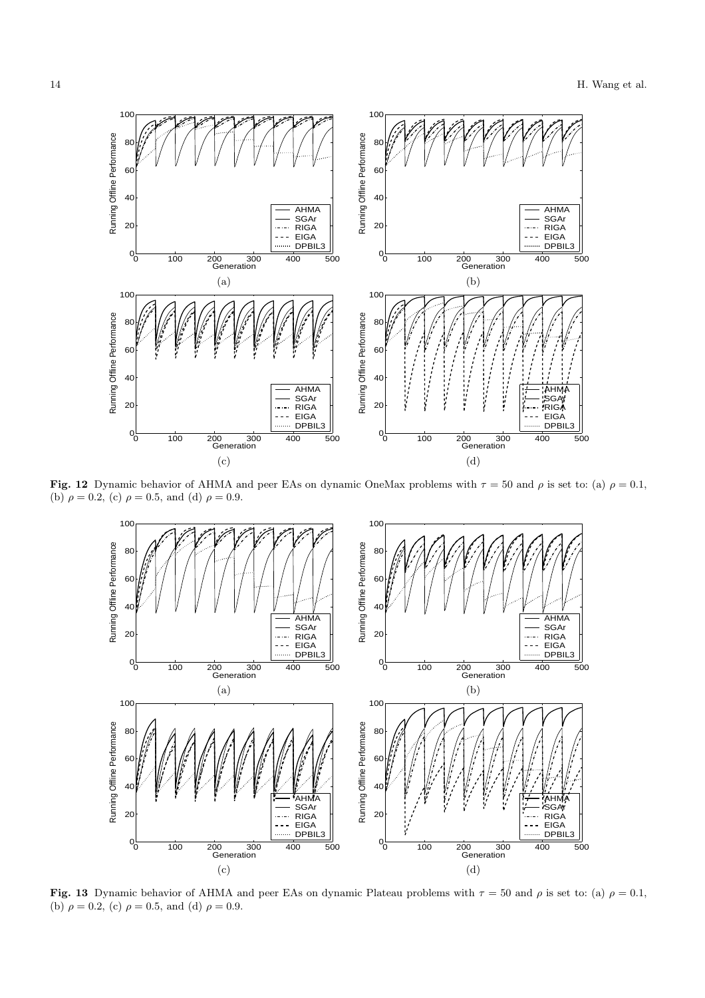

Fig. 12 Dynamic behavior of AHMA and peer EAs on dynamic OneMax problems with  $\tau = 50$  and  $\rho$  is set to: (a)  $\rho = 0.1$ , (b)  $\rho = 0.2$ , (c)  $\rho = 0.5$ , and (d)  $\rho = 0.9$ .



Fig. 13 Dynamic behavior of AHMA and peer EAs on dynamic Plateau problems with  $\tau = 50$  and  $\rho$  is set to: (a)  $\rho = 0.1$ , (b)  $\rho = 0.2$ , (c)  $\rho = 0.5$ , and (d)  $\rho = 0.9$ .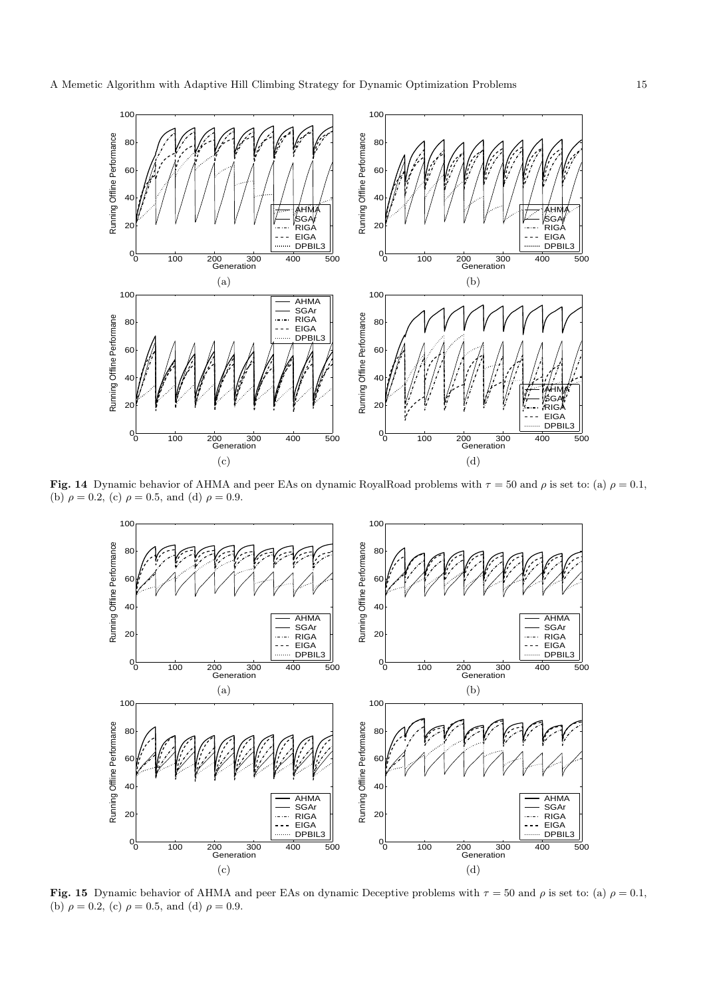

Fig. 14 Dynamic behavior of AHMA and peer EAs on dynamic RoyalRoad problems with  $\tau = 50$  and  $\rho$  is set to: (a)  $\rho = 0.1$ , (b)  $\rho = 0.2$ , (c)  $\rho = 0.5$ , and (d)  $\rho = 0.9$ .



Fig. 15 Dynamic behavior of AHMA and peer EAs on dynamic Deceptive problems with  $\tau = 50$  and  $\rho$  is set to: (a)  $\rho = 0.1$ , (b)  $\rho = 0.2$ , (c)  $\rho = 0.5$ , and (d)  $\rho = 0.9$ .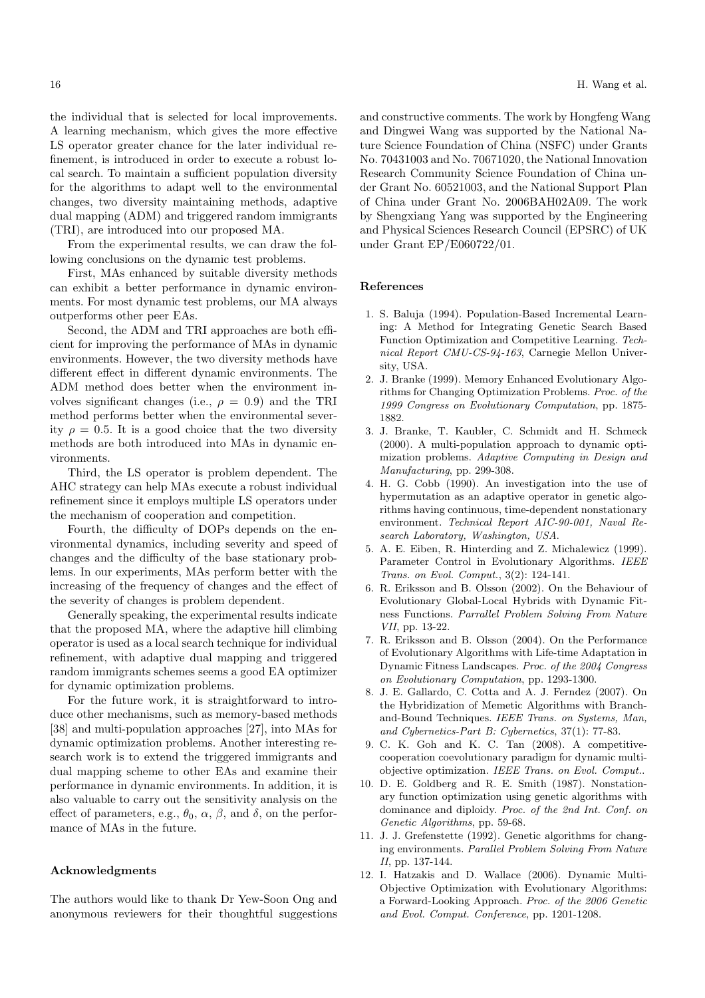the individual that is selected for local improvements. A learning mechanism, which gives the more effective LS operator greater chance for the later individual refinement, is introduced in order to execute a robust local search. To maintain a sufficient population diversity for the algorithms to adapt well to the environmental changes, two diversity maintaining methods, adaptive dual mapping (ADM) and triggered random immigrants (TRI), are introduced into our proposed MA.

From the experimental results, we can draw the following conclusions on the dynamic test problems.

First, MAs enhanced by suitable diversity methods can exhibit a better performance in dynamic environments. For most dynamic test problems, our MA always outperforms other peer EAs.

Second, the ADM and TRI approaches are both efficient for improving the performance of MAs in dynamic environments. However, the two diversity methods have different effect in different dynamic environments. The ADM method does better when the environment involves significant changes (i.e.,  $\rho = 0.9$ ) and the TRI method performs better when the environmental severity  $\rho = 0.5$ . It is a good choice that the two diversity methods are both introduced into MAs in dynamic environments.

Third, the LS operator is problem dependent. The AHC strategy can help MAs execute a robust individual refinement since it employs multiple LS operators under the mechanism of cooperation and competition.

Fourth, the difficulty of DOPs depends on the environmental dynamics, including severity and speed of changes and the difficulty of the base stationary problems. In our experiments, MAs perform better with the increasing of the frequency of changes and the effect of the severity of changes is problem dependent.

Generally speaking, the experimental results indicate that the proposed MA, where the adaptive hill climbing operator is used as a local search technique for individual refinement, with adaptive dual mapping and triggered random immigrants schemes seems a good EA optimizer for dynamic optimization problems.

For the future work, it is straightforward to introduce other mechanisms, such as memory-based methods [38] and multi-population approaches [27], into MAs for dynamic optimization problems. Another interesting research work is to extend the triggered immigrants and dual mapping scheme to other EAs and examine their performance in dynamic environments. In addition, it is also valuable to carry out the sensitivity analysis on the effect of parameters, e.g.,  $\theta_0$ ,  $\alpha$ ,  $\beta$ , and  $\delta$ , on the performance of MAs in the future.

#### Acknowledgments

The authors would like to thank Dr Yew-Soon Ong and anonymous reviewers for their thoughtful suggestions and constructive comments. The work by Hongfeng Wang and Dingwei Wang was supported by the National Nature Science Foundation of China (NSFC) under Grants No. 70431003 and No. 70671020, the National Innovation Research Community Science Foundation of China under Grant No. 60521003, and the National Support Plan of China under Grant No. 2006BAH02A09. The work by Shengxiang Yang was supported by the Engineering and Physical Sciences Research Council (EPSRC) of UK under Grant EP/E060722/01.

#### References

- 1. S. Baluja (1994). Population-Based Incremental Learning: A Method for Integrating Genetic Search Based Function Optimization and Competitive Learning. *Technical Report CMU-CS-94-163*, Carnegie Mellon University, USA.
- 2. J. Branke (1999). Memory Enhanced Evolutionary Algorithms for Changing Optimization Problems. *Proc. of the 1999 Congress on Evolutionary Computation*, pp. 1875- 1882.
- 3. J. Branke, T. Kaubler, C. Schmidt and H. Schmeck (2000). A multi-population approach to dynamic optimization problems. *Adaptive Computing in Design and Manufacturing*, pp. 299-308.
- 4. H. G. Cobb (1990). An investigation into the use of hypermutation as an adaptive operator in genetic algorithms having continuous, time-dependent nonstationary environment. *Technical Report AIC-90-001, Naval Research Laboratory, Washington, USA*.
- 5. A. E. Eiben, R. Hinterding and Z. Michalewicz (1999). Parameter Control in Evolutionary Algorithms. *IEEE Trans. on Evol. Comput.*, 3(2): 124-141.
- 6. R. Eriksson and B. Olsson (2002). On the Behaviour of Evolutionary Global-Local Hybrids with Dynamic Fitness Functions. *Parrallel Problem Solving From Nature VII*, pp. 13-22.
- 7. R. Eriksson and B. Olsson (2004). On the Performance of Evolutionary Algorithms with Life-time Adaptation in Dynamic Fitness Landscapes. *Proc. of the 2004 Congress on Evolutionary Computation*, pp. 1293-1300.
- 8. J. E. Gallardo, C. Cotta and A. J. Ferndez (2007). On the Hybridization of Memetic Algorithms with Branchand-Bound Techniques. *IEEE Trans. on Systems, Man, and Cybernetics-Part B: Cybernetics*, 37(1): 77-83.
- 9. C. K. Goh and K. C. Tan (2008). A competitivecooperation coevolutionary paradigm for dynamic multiobjective optimization. *IEEE Trans. on Evol. Comput.*.
- 10. D. E. Goldberg and R. E. Smith (1987). Nonstationary function optimization using genetic algorithms with dominance and diploidy. *Proc. of the 2nd Int. Conf. on Genetic Algorithms*, pp. 59-68.
- 11. J. J. Grefenstette (1992). Genetic algorithms for changing environments. *Parallel Problem Solving From Nature II*, pp. 137-144.
- 12. I. Hatzakis and D. Wallace (2006). Dynamic Multi-Objective Optimization with Evolutionary Algorithms: a Forward-Looking Approach. *Proc. of the 2006 Genetic and Evol. Comput. Conference*, pp. 1201-1208.